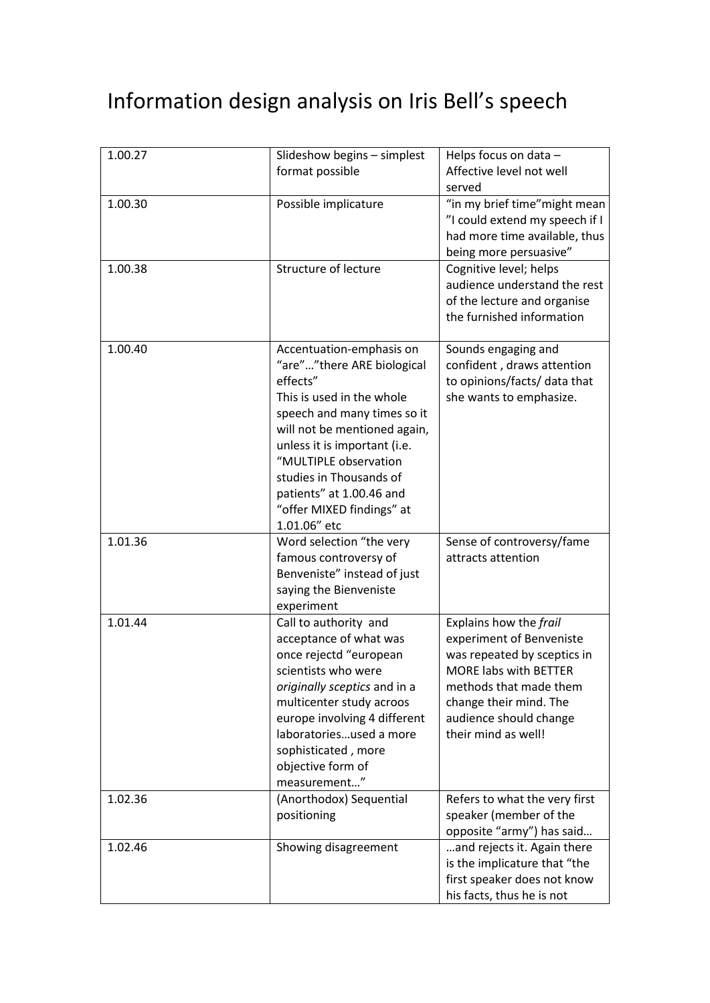# Information design analysis on Iris Bell's speech

| 1.00.27 | Slideshow begins - simplest<br>format possible                                                                                                                                                                                                                                                                              | Helps focus on data -<br>Affective level not well<br>served                                                                                                                                                            |
|---------|-----------------------------------------------------------------------------------------------------------------------------------------------------------------------------------------------------------------------------------------------------------------------------------------------------------------------------|------------------------------------------------------------------------------------------------------------------------------------------------------------------------------------------------------------------------|
| 1.00.30 | Possible implicature                                                                                                                                                                                                                                                                                                        | "in my brief time" might mean<br>"I could extend my speech if I<br>had more time available, thus<br>being more persuasive"                                                                                             |
| 1.00.38 | Structure of lecture                                                                                                                                                                                                                                                                                                        | Cognitive level; helps<br>audience understand the rest<br>of the lecture and organise<br>the furnished information                                                                                                     |
| 1.00.40 | Accentuation-emphasis on<br>"are""there ARE biological<br>effects"<br>This is used in the whole<br>speech and many times so it<br>will not be mentioned again,<br>unless it is important (i.e.<br>"MULTIPLE observation<br>studies in Thousands of<br>patients" at 1.00.46 and<br>"offer MIXED findings" at<br>1.01.06" etc | Sounds engaging and<br>confident, draws attention<br>to opinions/facts/ data that<br>she wants to emphasize.                                                                                                           |
| 1.01.36 | Word selection "the very<br>famous controversy of<br>Benveniste" instead of just<br>saying the Bienveniste<br>experiment                                                                                                                                                                                                    | Sense of controversy/fame<br>attracts attention                                                                                                                                                                        |
| 1.01.44 | Call to authority and<br>acceptance of what was<br>once rejectd "european<br>scientists who were<br>originally sceptics and in a<br>multicenter study acroos<br>europe involving 4 different<br>laboratoriesused a more<br>sophisticated, more<br>objective form of<br>measurement"                                         | Explains how the frail<br>experiment of Benveniste<br>was repeated by sceptics in<br><b>MORE labs with BETTER</b><br>methods that made them<br>change their mind. The<br>audience should change<br>their mind as well! |
| 1.02.36 | (Anorthodox) Sequential<br>positioning                                                                                                                                                                                                                                                                                      | Refers to what the very first<br>speaker (member of the<br>opposite "army") has said                                                                                                                                   |
| 1.02.46 | Showing disagreement                                                                                                                                                                                                                                                                                                        | and rejects it. Again there<br>is the implicature that "the<br>first speaker does not know<br>his facts, thus he is not                                                                                                |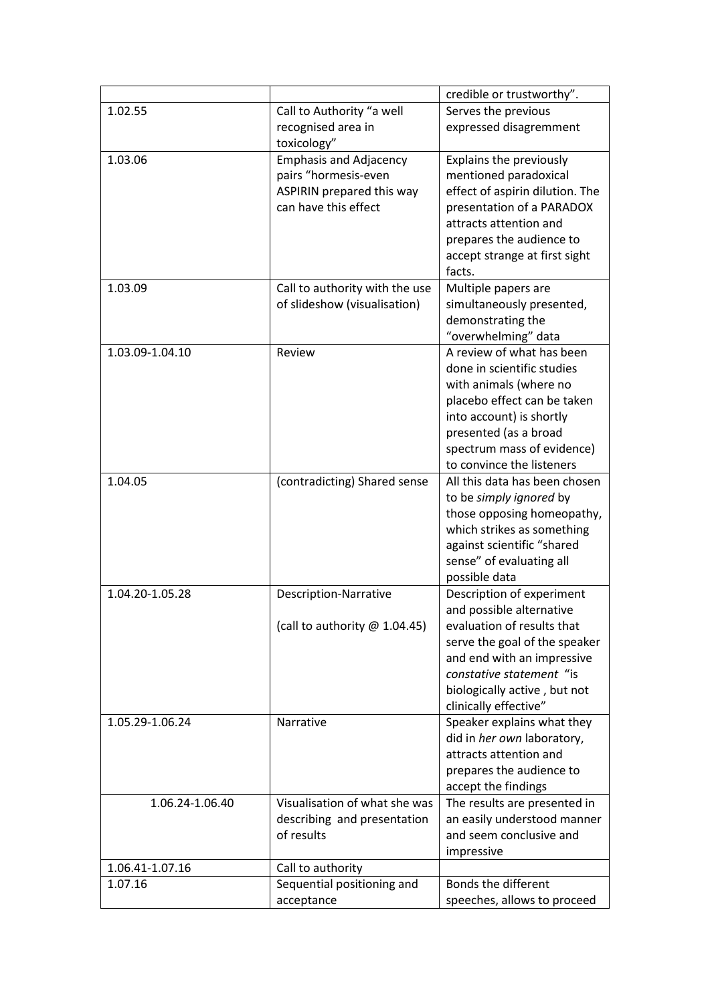|                 |                                                                                                            | credible or trustworthy".                                                                                                                                                                                                               |
|-----------------|------------------------------------------------------------------------------------------------------------|-----------------------------------------------------------------------------------------------------------------------------------------------------------------------------------------------------------------------------------------|
| 1.02.55         | Call to Authority "a well<br>recognised area in                                                            | Serves the previous<br>expressed disagremment                                                                                                                                                                                           |
|                 | toxicology"                                                                                                |                                                                                                                                                                                                                                         |
| 1.03.06         | <b>Emphasis and Adjacency</b><br>pairs "hormesis-even<br>ASPIRIN prepared this way<br>can have this effect | Explains the previously<br>mentioned paradoxical<br>effect of aspirin dilution. The<br>presentation of a PARADOX<br>attracts attention and<br>prepares the audience to<br>accept strange at first sight<br>facts.                       |
| 1.03.09         | Call to authority with the use<br>of slideshow (visualisation)                                             | Multiple papers are<br>simultaneously presented,<br>demonstrating the<br>"overwhelming" data                                                                                                                                            |
| 1.03.09-1.04.10 | Review                                                                                                     | A review of what has been<br>done in scientific studies<br>with animals (where no<br>placebo effect can be taken<br>into account) is shortly<br>presented (as a broad<br>spectrum mass of evidence)<br>to convince the listeners        |
| 1.04.05         | (contradicting) Shared sense                                                                               | All this data has been chosen<br>to be simply ignored by<br>those opposing homeopathy,<br>which strikes as something<br>against scientific "shared<br>sense" of evaluating all<br>possible data                                         |
| 1.04.20-1.05.28 | <b>Description-Narrative</b><br>(call to authority $@1.04.45$ )                                            | Description of experiment<br>and possible alternative<br>evaluation of results that<br>serve the goal of the speaker<br>and end with an impressive<br>constative statement "is<br>biologically active, but not<br>clinically effective" |
| 1.05.29-1.06.24 | Narrative                                                                                                  | Speaker explains what they<br>did in her own laboratory,<br>attracts attention and<br>prepares the audience to<br>accept the findings                                                                                                   |
| 1.06.24-1.06.40 | Visualisation of what she was<br>describing and presentation<br>of results                                 | The results are presented in<br>an easily understood manner<br>and seem conclusive and<br>impressive                                                                                                                                    |
| 1.06.41-1.07.16 | Call to authority                                                                                          |                                                                                                                                                                                                                                         |
| 1.07.16         | Sequential positioning and<br>acceptance                                                                   | Bonds the different<br>speeches, allows to proceed                                                                                                                                                                                      |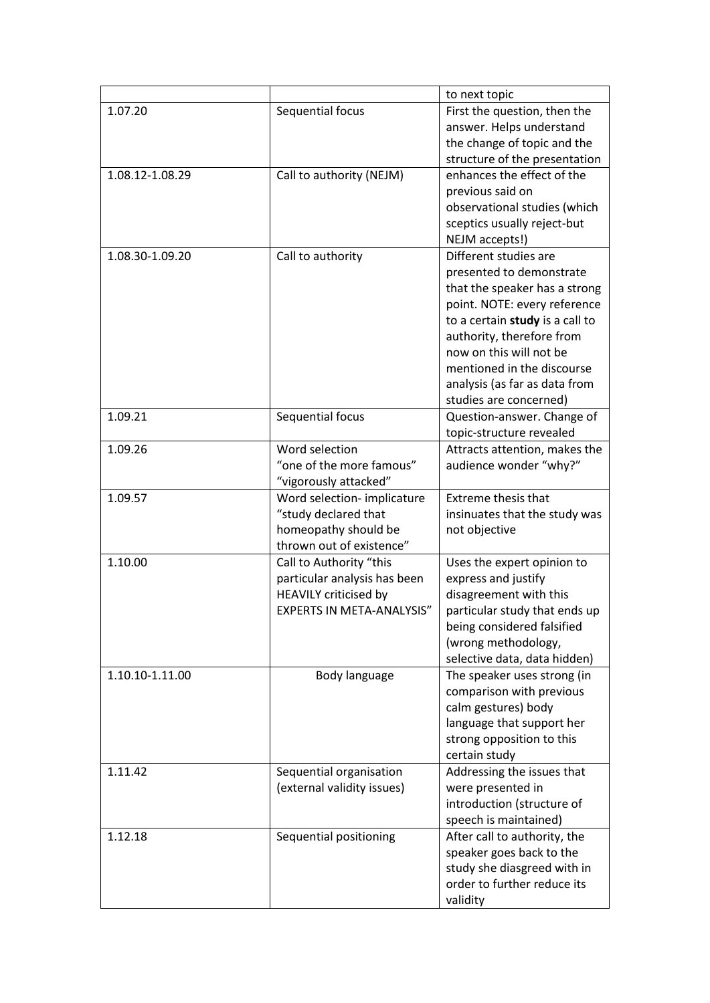|                 |                                  | to next topic                   |
|-----------------|----------------------------------|---------------------------------|
| 1.07.20         | Sequential focus                 | First the question, then the    |
|                 |                                  | answer. Helps understand        |
|                 |                                  | the change of topic and the     |
|                 |                                  | structure of the presentation   |
| 1.08.12-1.08.29 | Call to authority (NEJM)         | enhances the effect of the      |
|                 |                                  | previous said on                |
|                 |                                  | observational studies (which    |
|                 |                                  | sceptics usually reject-but     |
|                 |                                  | NEJM accepts!)                  |
| 1.08.30-1.09.20 | Call to authority                | Different studies are           |
|                 |                                  | presented to demonstrate        |
|                 |                                  | that the speaker has a strong   |
|                 |                                  | point. NOTE: every reference    |
|                 |                                  | to a certain study is a call to |
|                 |                                  | authority, therefore from       |
|                 |                                  | now on this will not be         |
|                 |                                  | mentioned in the discourse      |
|                 |                                  | analysis (as far as data from   |
|                 |                                  | studies are concerned)          |
| 1.09.21         | Sequential focus                 | Question-answer. Change of      |
|                 |                                  | topic-structure revealed        |
| 1.09.26         | Word selection                   | Attracts attention, makes the   |
|                 | "one of the more famous"         | audience wonder "why?"          |
|                 | "vigorously attacked"            |                                 |
| 1.09.57         | Word selection- implicature      | <b>Extreme thesis that</b>      |
|                 | "study declared that             | insinuates that the study was   |
|                 | homeopathy should be             | not objective                   |
|                 | thrown out of existence"         |                                 |
| 1.10.00         | Call to Authority "this          | Uses the expert opinion to      |
|                 | particular analysis has been     | express and justify             |
|                 | <b>HEAVILY criticised by</b>     | disagreement with this          |
|                 | <b>EXPERTS IN META-ANALYSIS"</b> | particular study that ends up   |
|                 |                                  | being considered falsified      |
|                 |                                  | (wrong methodology,             |
|                 |                                  | selective data, data hidden)    |
| 1.10.10-1.11.00 | Body language                    | The speaker uses strong (in     |
|                 |                                  | comparison with previous        |
|                 |                                  | calm gestures) body             |
|                 |                                  | language that support her       |
|                 |                                  | strong opposition to this       |
|                 |                                  | certain study                   |
| 1.11.42         | Sequential organisation          | Addressing the issues that      |
|                 | (external validity issues)       | were presented in               |
|                 |                                  | introduction (structure of      |
|                 |                                  | speech is maintained)           |
| 1.12.18         | Sequential positioning           | After call to authority, the    |
|                 |                                  | speaker goes back to the        |
|                 |                                  | study she diasgreed with in     |
|                 |                                  | order to further reduce its     |
|                 |                                  |                                 |
|                 |                                  | validity                        |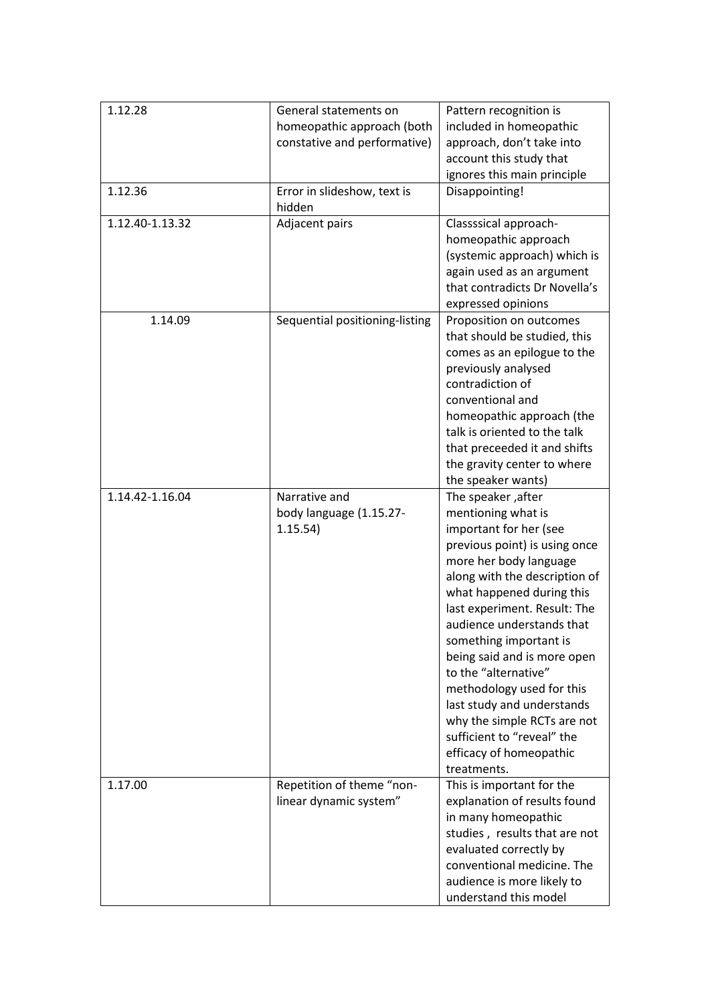| 1.12.28<br>General statements on<br>Pattern recognition is<br>homeopathic approach (both<br>included in homeopathic<br>constative and performative)<br>approach, don't take into<br>account this study that<br>ignores this main principle<br>1.12.36<br>Error in slideshow, text is<br>Disappointing!<br>hidden<br>1.12.40-1.13.32<br>Adjacent pairs<br>Classssical approach-<br>homeopathic approach<br>(systemic approach) which is<br>again used as an argument<br>that contradicts Dr Novella's<br>expressed opinions<br>1.14.09<br>Sequential positioning-listing<br>Proposition on outcomes<br>that should be studied, this<br>comes as an epilogue to the<br>previously analysed<br>contradiction of<br>conventional and<br>homeopathic approach (the<br>talk is oriented to the talk<br>that preceeded it and shifts<br>the gravity center to where<br>the speaker wants)<br>1.14.42-1.16.04<br>Narrative and<br>The speaker, after<br>mentioning what is<br>body language (1.15.27-<br>1.15.54)<br>important for her (see<br>previous point) is using once<br>more her body language<br>along with the description of<br>what happened during this<br>last experiment. Result: The<br>audience understands that<br>something important is<br>being said and is more open<br>to the "alternative"<br>methodology used for this<br>last study and understands<br>why the simple RCTs are not<br>sufficient to "reveal" the<br>efficacy of homeopathic<br>treatments.<br>Repetition of theme "non-<br>1.17.00<br>This is important for the<br>linear dynamic system"<br>explanation of results found<br>in many homeopathic |  |                            |
|------------------------------------------------------------------------------------------------------------------------------------------------------------------------------------------------------------------------------------------------------------------------------------------------------------------------------------------------------------------------------------------------------------------------------------------------------------------------------------------------------------------------------------------------------------------------------------------------------------------------------------------------------------------------------------------------------------------------------------------------------------------------------------------------------------------------------------------------------------------------------------------------------------------------------------------------------------------------------------------------------------------------------------------------------------------------------------------------------------------------------------------------------------------------------------------------------------------------------------------------------------------------------------------------------------------------------------------------------------------------------------------------------------------------------------------------------------------------------------------------------------------------------------------------------------------------------------------------------------------------------------|--|----------------------------|
|                                                                                                                                                                                                                                                                                                                                                                                                                                                                                                                                                                                                                                                                                                                                                                                                                                                                                                                                                                                                                                                                                                                                                                                                                                                                                                                                                                                                                                                                                                                                                                                                                                    |  |                            |
|                                                                                                                                                                                                                                                                                                                                                                                                                                                                                                                                                                                                                                                                                                                                                                                                                                                                                                                                                                                                                                                                                                                                                                                                                                                                                                                                                                                                                                                                                                                                                                                                                                    |  |                            |
|                                                                                                                                                                                                                                                                                                                                                                                                                                                                                                                                                                                                                                                                                                                                                                                                                                                                                                                                                                                                                                                                                                                                                                                                                                                                                                                                                                                                                                                                                                                                                                                                                                    |  |                            |
|                                                                                                                                                                                                                                                                                                                                                                                                                                                                                                                                                                                                                                                                                                                                                                                                                                                                                                                                                                                                                                                                                                                                                                                                                                                                                                                                                                                                                                                                                                                                                                                                                                    |  |                            |
|                                                                                                                                                                                                                                                                                                                                                                                                                                                                                                                                                                                                                                                                                                                                                                                                                                                                                                                                                                                                                                                                                                                                                                                                                                                                                                                                                                                                                                                                                                                                                                                                                                    |  |                            |
|                                                                                                                                                                                                                                                                                                                                                                                                                                                                                                                                                                                                                                                                                                                                                                                                                                                                                                                                                                                                                                                                                                                                                                                                                                                                                                                                                                                                                                                                                                                                                                                                                                    |  |                            |
|                                                                                                                                                                                                                                                                                                                                                                                                                                                                                                                                                                                                                                                                                                                                                                                                                                                                                                                                                                                                                                                                                                                                                                                                                                                                                                                                                                                                                                                                                                                                                                                                                                    |  |                            |
|                                                                                                                                                                                                                                                                                                                                                                                                                                                                                                                                                                                                                                                                                                                                                                                                                                                                                                                                                                                                                                                                                                                                                                                                                                                                                                                                                                                                                                                                                                                                                                                                                                    |  |                            |
|                                                                                                                                                                                                                                                                                                                                                                                                                                                                                                                                                                                                                                                                                                                                                                                                                                                                                                                                                                                                                                                                                                                                                                                                                                                                                                                                                                                                                                                                                                                                                                                                                                    |  |                            |
|                                                                                                                                                                                                                                                                                                                                                                                                                                                                                                                                                                                                                                                                                                                                                                                                                                                                                                                                                                                                                                                                                                                                                                                                                                                                                                                                                                                                                                                                                                                                                                                                                                    |  |                            |
|                                                                                                                                                                                                                                                                                                                                                                                                                                                                                                                                                                                                                                                                                                                                                                                                                                                                                                                                                                                                                                                                                                                                                                                                                                                                                                                                                                                                                                                                                                                                                                                                                                    |  |                            |
|                                                                                                                                                                                                                                                                                                                                                                                                                                                                                                                                                                                                                                                                                                                                                                                                                                                                                                                                                                                                                                                                                                                                                                                                                                                                                                                                                                                                                                                                                                                                                                                                                                    |  |                            |
|                                                                                                                                                                                                                                                                                                                                                                                                                                                                                                                                                                                                                                                                                                                                                                                                                                                                                                                                                                                                                                                                                                                                                                                                                                                                                                                                                                                                                                                                                                                                                                                                                                    |  |                            |
|                                                                                                                                                                                                                                                                                                                                                                                                                                                                                                                                                                                                                                                                                                                                                                                                                                                                                                                                                                                                                                                                                                                                                                                                                                                                                                                                                                                                                                                                                                                                                                                                                                    |  |                            |
|                                                                                                                                                                                                                                                                                                                                                                                                                                                                                                                                                                                                                                                                                                                                                                                                                                                                                                                                                                                                                                                                                                                                                                                                                                                                                                                                                                                                                                                                                                                                                                                                                                    |  |                            |
|                                                                                                                                                                                                                                                                                                                                                                                                                                                                                                                                                                                                                                                                                                                                                                                                                                                                                                                                                                                                                                                                                                                                                                                                                                                                                                                                                                                                                                                                                                                                                                                                                                    |  |                            |
|                                                                                                                                                                                                                                                                                                                                                                                                                                                                                                                                                                                                                                                                                                                                                                                                                                                                                                                                                                                                                                                                                                                                                                                                                                                                                                                                                                                                                                                                                                                                                                                                                                    |  |                            |
|                                                                                                                                                                                                                                                                                                                                                                                                                                                                                                                                                                                                                                                                                                                                                                                                                                                                                                                                                                                                                                                                                                                                                                                                                                                                                                                                                                                                                                                                                                                                                                                                                                    |  |                            |
|                                                                                                                                                                                                                                                                                                                                                                                                                                                                                                                                                                                                                                                                                                                                                                                                                                                                                                                                                                                                                                                                                                                                                                                                                                                                                                                                                                                                                                                                                                                                                                                                                                    |  |                            |
|                                                                                                                                                                                                                                                                                                                                                                                                                                                                                                                                                                                                                                                                                                                                                                                                                                                                                                                                                                                                                                                                                                                                                                                                                                                                                                                                                                                                                                                                                                                                                                                                                                    |  |                            |
|                                                                                                                                                                                                                                                                                                                                                                                                                                                                                                                                                                                                                                                                                                                                                                                                                                                                                                                                                                                                                                                                                                                                                                                                                                                                                                                                                                                                                                                                                                                                                                                                                                    |  |                            |
|                                                                                                                                                                                                                                                                                                                                                                                                                                                                                                                                                                                                                                                                                                                                                                                                                                                                                                                                                                                                                                                                                                                                                                                                                                                                                                                                                                                                                                                                                                                                                                                                                                    |  |                            |
|                                                                                                                                                                                                                                                                                                                                                                                                                                                                                                                                                                                                                                                                                                                                                                                                                                                                                                                                                                                                                                                                                                                                                                                                                                                                                                                                                                                                                                                                                                                                                                                                                                    |  |                            |
|                                                                                                                                                                                                                                                                                                                                                                                                                                                                                                                                                                                                                                                                                                                                                                                                                                                                                                                                                                                                                                                                                                                                                                                                                                                                                                                                                                                                                                                                                                                                                                                                                                    |  |                            |
|                                                                                                                                                                                                                                                                                                                                                                                                                                                                                                                                                                                                                                                                                                                                                                                                                                                                                                                                                                                                                                                                                                                                                                                                                                                                                                                                                                                                                                                                                                                                                                                                                                    |  |                            |
|                                                                                                                                                                                                                                                                                                                                                                                                                                                                                                                                                                                                                                                                                                                                                                                                                                                                                                                                                                                                                                                                                                                                                                                                                                                                                                                                                                                                                                                                                                                                                                                                                                    |  |                            |
|                                                                                                                                                                                                                                                                                                                                                                                                                                                                                                                                                                                                                                                                                                                                                                                                                                                                                                                                                                                                                                                                                                                                                                                                                                                                                                                                                                                                                                                                                                                                                                                                                                    |  |                            |
|                                                                                                                                                                                                                                                                                                                                                                                                                                                                                                                                                                                                                                                                                                                                                                                                                                                                                                                                                                                                                                                                                                                                                                                                                                                                                                                                                                                                                                                                                                                                                                                                                                    |  |                            |
|                                                                                                                                                                                                                                                                                                                                                                                                                                                                                                                                                                                                                                                                                                                                                                                                                                                                                                                                                                                                                                                                                                                                                                                                                                                                                                                                                                                                                                                                                                                                                                                                                                    |  |                            |
|                                                                                                                                                                                                                                                                                                                                                                                                                                                                                                                                                                                                                                                                                                                                                                                                                                                                                                                                                                                                                                                                                                                                                                                                                                                                                                                                                                                                                                                                                                                                                                                                                                    |  |                            |
|                                                                                                                                                                                                                                                                                                                                                                                                                                                                                                                                                                                                                                                                                                                                                                                                                                                                                                                                                                                                                                                                                                                                                                                                                                                                                                                                                                                                                                                                                                                                                                                                                                    |  |                            |
|                                                                                                                                                                                                                                                                                                                                                                                                                                                                                                                                                                                                                                                                                                                                                                                                                                                                                                                                                                                                                                                                                                                                                                                                                                                                                                                                                                                                                                                                                                                                                                                                                                    |  |                            |
|                                                                                                                                                                                                                                                                                                                                                                                                                                                                                                                                                                                                                                                                                                                                                                                                                                                                                                                                                                                                                                                                                                                                                                                                                                                                                                                                                                                                                                                                                                                                                                                                                                    |  |                            |
|                                                                                                                                                                                                                                                                                                                                                                                                                                                                                                                                                                                                                                                                                                                                                                                                                                                                                                                                                                                                                                                                                                                                                                                                                                                                                                                                                                                                                                                                                                                                                                                                                                    |  |                            |
|                                                                                                                                                                                                                                                                                                                                                                                                                                                                                                                                                                                                                                                                                                                                                                                                                                                                                                                                                                                                                                                                                                                                                                                                                                                                                                                                                                                                                                                                                                                                                                                                                                    |  |                            |
|                                                                                                                                                                                                                                                                                                                                                                                                                                                                                                                                                                                                                                                                                                                                                                                                                                                                                                                                                                                                                                                                                                                                                                                                                                                                                                                                                                                                                                                                                                                                                                                                                                    |  |                            |
|                                                                                                                                                                                                                                                                                                                                                                                                                                                                                                                                                                                                                                                                                                                                                                                                                                                                                                                                                                                                                                                                                                                                                                                                                                                                                                                                                                                                                                                                                                                                                                                                                                    |  |                            |
|                                                                                                                                                                                                                                                                                                                                                                                                                                                                                                                                                                                                                                                                                                                                                                                                                                                                                                                                                                                                                                                                                                                                                                                                                                                                                                                                                                                                                                                                                                                                                                                                                                    |  |                            |
|                                                                                                                                                                                                                                                                                                                                                                                                                                                                                                                                                                                                                                                                                                                                                                                                                                                                                                                                                                                                                                                                                                                                                                                                                                                                                                                                                                                                                                                                                                                                                                                                                                    |  |                            |
|                                                                                                                                                                                                                                                                                                                                                                                                                                                                                                                                                                                                                                                                                                                                                                                                                                                                                                                                                                                                                                                                                                                                                                                                                                                                                                                                                                                                                                                                                                                                                                                                                                    |  |                            |
|                                                                                                                                                                                                                                                                                                                                                                                                                                                                                                                                                                                                                                                                                                                                                                                                                                                                                                                                                                                                                                                                                                                                                                                                                                                                                                                                                                                                                                                                                                                                                                                                                                    |  |                            |
|                                                                                                                                                                                                                                                                                                                                                                                                                                                                                                                                                                                                                                                                                                                                                                                                                                                                                                                                                                                                                                                                                                                                                                                                                                                                                                                                                                                                                                                                                                                                                                                                                                    |  |                            |
|                                                                                                                                                                                                                                                                                                                                                                                                                                                                                                                                                                                                                                                                                                                                                                                                                                                                                                                                                                                                                                                                                                                                                                                                                                                                                                                                                                                                                                                                                                                                                                                                                                    |  |                            |
| studies, results that are not                                                                                                                                                                                                                                                                                                                                                                                                                                                                                                                                                                                                                                                                                                                                                                                                                                                                                                                                                                                                                                                                                                                                                                                                                                                                                                                                                                                                                                                                                                                                                                                                      |  |                            |
| evaluated correctly by                                                                                                                                                                                                                                                                                                                                                                                                                                                                                                                                                                                                                                                                                                                                                                                                                                                                                                                                                                                                                                                                                                                                                                                                                                                                                                                                                                                                                                                                                                                                                                                                             |  |                            |
| conventional medicine. The                                                                                                                                                                                                                                                                                                                                                                                                                                                                                                                                                                                                                                                                                                                                                                                                                                                                                                                                                                                                                                                                                                                                                                                                                                                                                                                                                                                                                                                                                                                                                                                                         |  |                            |
|                                                                                                                                                                                                                                                                                                                                                                                                                                                                                                                                                                                                                                                                                                                                                                                                                                                                                                                                                                                                                                                                                                                                                                                                                                                                                                                                                                                                                                                                                                                                                                                                                                    |  |                            |
|                                                                                                                                                                                                                                                                                                                                                                                                                                                                                                                                                                                                                                                                                                                                                                                                                                                                                                                                                                                                                                                                                                                                                                                                                                                                                                                                                                                                                                                                                                                                                                                                                                    |  |                            |
|                                                                                                                                                                                                                                                                                                                                                                                                                                                                                                                                                                                                                                                                                                                                                                                                                                                                                                                                                                                                                                                                                                                                                                                                                                                                                                                                                                                                                                                                                                                                                                                                                                    |  | audience is more likely to |
|                                                                                                                                                                                                                                                                                                                                                                                                                                                                                                                                                                                                                                                                                                                                                                                                                                                                                                                                                                                                                                                                                                                                                                                                                                                                                                                                                                                                                                                                                                                                                                                                                                    |  | understand this model      |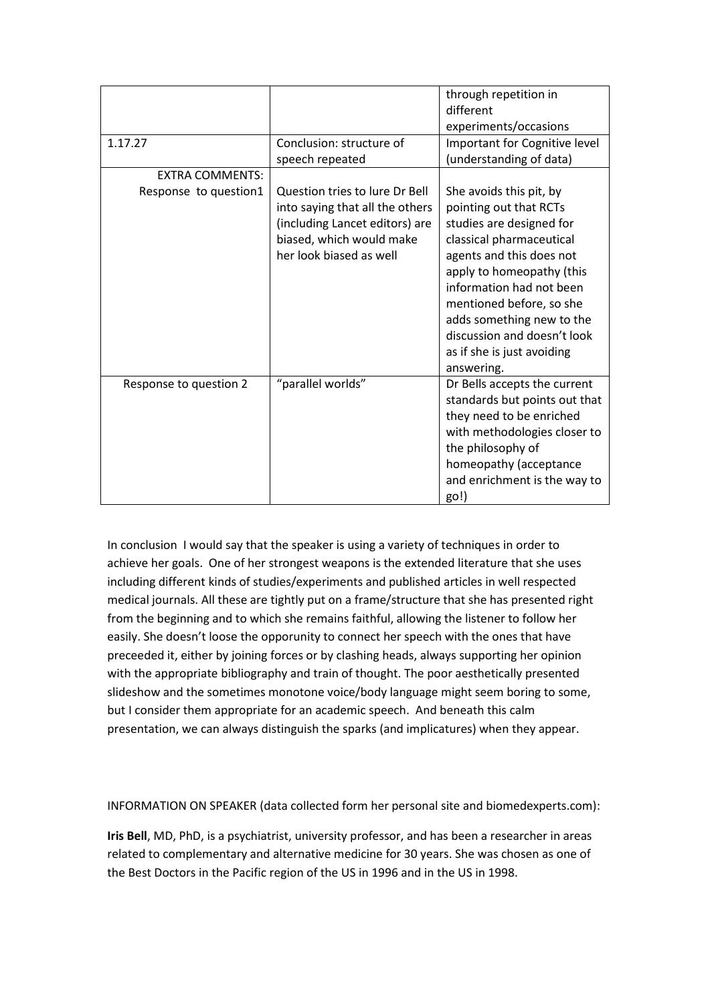|                        |                                                                                                                                                            | through repetition in<br>different<br>experiments/occasions                                                                                                                                                                                                                                                                        |
|------------------------|------------------------------------------------------------------------------------------------------------------------------------------------------------|------------------------------------------------------------------------------------------------------------------------------------------------------------------------------------------------------------------------------------------------------------------------------------------------------------------------------------|
| 1.17.27                | Conclusion: structure of<br>speech repeated                                                                                                                | Important for Cognitive level<br>(understanding of data)                                                                                                                                                                                                                                                                           |
| <b>EXTRA COMMENTS:</b> |                                                                                                                                                            |                                                                                                                                                                                                                                                                                                                                    |
| Response to question1  | Question tries to lure Dr Bell<br>into saying that all the others<br>(including Lancet editors) are<br>biased, which would make<br>her look biased as well | She avoids this pit, by<br>pointing out that RCTs<br>studies are designed for<br>classical pharmaceutical<br>agents and this does not<br>apply to homeopathy (this<br>information had not been<br>mentioned before, so she<br>adds something new to the<br>discussion and doesn't look<br>as if she is just avoiding<br>answering. |
| Response to question 2 | "parallel worlds"                                                                                                                                          | Dr Bells accepts the current<br>standards but points out that<br>they need to be enriched<br>with methodologies closer to<br>the philosophy of<br>homeopathy (acceptance<br>and enrichment is the way to<br>go!)                                                                                                                   |

In conclusion I would say that the speaker is using a variety of techniques in order to achieve her goals. One of her strongest weapons is the extended literature that she uses including different kinds of studies/experiments and published articles in well respected medical journals. All these are tightly put on a frame/structure that she has presented right from the beginning and to which she remains faithful, allowing the listener to follow her easily. She doesn't loose the opporunity to connect her speech with the ones that have preceeded it, either by joining forces or by clashing heads, always supporting her opinion with the appropriate bibliography and train of thought. The poor aesthetically presented slideshow and the sometimes monotone voice/body language might seem boring to some, but I consider them appropriate for an academic speech. And beneath this calm presentation, we can always distinguish the sparks (and implicatures) when they appear.

INFORMATION ON SPEAKER (data collected form her personal site and biomedexperts.com):

**Iris Bell**, MD, PhD, is a psychiatrist, university professor, and has been a researcher in areas related to complementary and alternative medicine for 30 years. She was chosen as one of the Best Doctors in the Pacific region of the US in 1996 and in the US in 1998.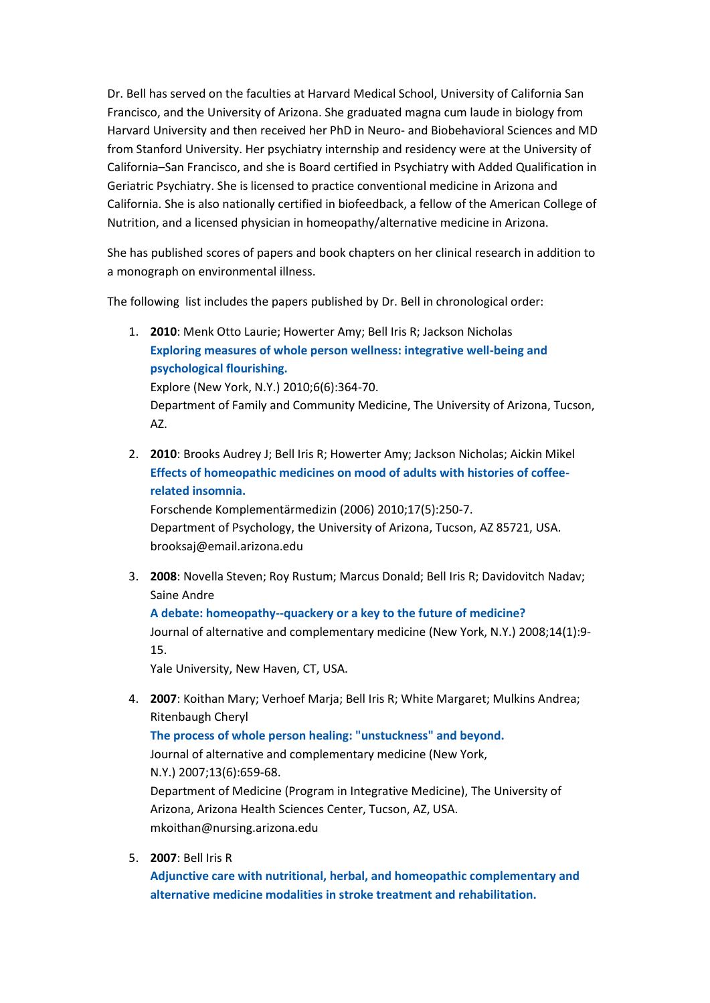Dr. Bell has served on the faculties at Harvard Medical School, University of California San Francisco, and the University of Arizona. She graduated magna cum laude in biology from Harvard University and then received her PhD in Neuro- and Biobehavioral Sciences and MD from Stanford University. Her psychiatry internship and residency were at the University of California–San Francisco, and she is Board certified in Psychiatry with Added Qualification in Geriatric Psychiatry. She is licensed to practice conventional medicine in Arizona and California. She is also nationally certified in biofeedback, a fellow of the American College of Nutrition, and a licensed physician in homeopathy/alternative medicine in Arizona.

She has published scores of papers and book chapters on her clinical research in addition to a monograph on environmental illness.

The following list includes the papers published by Dr. Bell in chronological order:

| Exploring measures of whole person wellness: integrative well-being and<br>psychological flourishing.<br>Explore (New York, N.Y.) 2010;6(6):364-70.<br>AZ. | 1. | 2010: Menk Otto Laurie; Howerter Amy; Bell Iris R; Jackson Nicholas             |
|------------------------------------------------------------------------------------------------------------------------------------------------------------|----|---------------------------------------------------------------------------------|
|                                                                                                                                                            |    |                                                                                 |
|                                                                                                                                                            |    |                                                                                 |
|                                                                                                                                                            |    |                                                                                 |
|                                                                                                                                                            |    | Department of Family and Community Medicine, The University of Arizona, Tucson, |
|                                                                                                                                                            |    |                                                                                 |

2. **2010**: Brooks Audrey J; Bell Iris R; Howerter Amy; Jackson Nicholas; Aickin Mikel **[Effects of homeopathic medicines on mood of adults with histories of coffee](http://www.biomedexperts.com/Experts/Abstract.aspx?pid=20980764)[related insomnia.](http://www.biomedexperts.com/Experts/Abstract.aspx?pid=20980764)**

Forschende Komplementärmedizin (2006) 2010;17(5):250-7. Department of Psychology, the University of Arizona, Tucson, AZ 85721, USA. brooksaj@email.arizona.edu

3. **2008**: Novella Steven; Roy Rustum; Marcus Donald; Bell Iris R; Davidovitch Nadav; Saine Andre

**[A debate: homeopathy--quackery or a key to the future of medicine?](http://www.biomedexperts.com/Experts/Abstract.aspx?pid=18199017)** Journal of alternative and complementary medicine (New York, N.Y.) 2008;14(1):9- 15.

Yale University, New Haven, CT, USA.

4. **2007**: Koithan Mary; Verhoef Marja; Bell Iris R; White Margaret; Mulkins Andrea; Ritenbaugh Cheryl

```
The process of whole person healing: "unstuckness" and beyond.
```
Journal of alternative and complementary medicine (New York, N.Y.) 2007;13(6):659-68. Department of Medicine (Program in Integrative Medicine), The University of Arizona, Arizona Health Sciences Center, Tucson, AZ, USA.

mkoithan@nursing.arizona.edu

5. **2007**: Bell Iris R

**[Adjunctive care with nutritional, herbal, and homeopathic complementary and](http://www.biomedexperts.com/Experts/Abstract.aspx?pid=17698456)  [alternative medicine modalities in stroke treatment and rehabilitation.](http://www.biomedexperts.com/Experts/Abstract.aspx?pid=17698456)**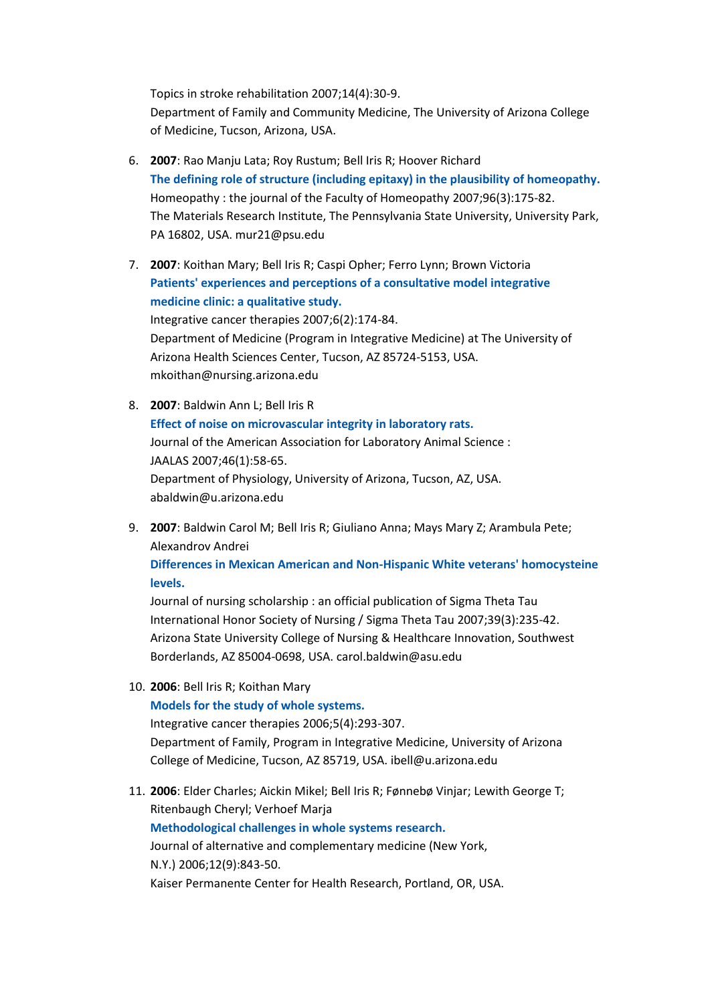Topics in stroke rehabilitation 2007;14(4):30-9. Department of Family and Community Medicine, The University of Arizona College of Medicine, Tucson, Arizona, USA.

- 6. **2007**: Rao Manju Lata; Roy Rustum; Bell Iris R; Hoover Richard **[The defining role of structure \(including epitaxy\) in the plausibility of homeopathy.](http://www.biomedexperts.com/Experts/Abstract.aspx?pid=17678814)** Homeopathy : the journal of the Faculty of Homeopathy 2007;96(3):175-82. The Materials Research Institute, The Pennsylvania State University, University Park, PA 16802, USA. mur21@psu.edu
- 7. **2007**: Koithan Mary; Bell Iris R; Caspi Opher; Ferro Lynn; Brown Victoria **[Patients' experiences and perceptions of a consultative model integrative](http://www.biomedexperts.com/Experts/Abstract.aspx?pid=17548796)  [medicine clinic: a qualitative study.](http://www.biomedexperts.com/Experts/Abstract.aspx?pid=17548796)** Integrative cancer therapies 2007;6(2):174-84. Department of Medicine (Program in Integrative Medicine) at The University of Arizona Health Sciences Center, Tucson, AZ 85724-5153, USA. mkoithan@nursing.arizona.edu
- 8. **2007**: Baldwin Ann L; Bell Iris R **[Effect of noise on microvascular integrity in laboratory rats.](http://www.biomedexperts.com/Experts/Abstract.aspx?pid=17203918)** Journal of the American Association for Laboratory Animal Science : JAALAS 2007;46(1):58-65. Department of Physiology, University of Arizona, Tucson, AZ, USA. abaldwin@u.arizona.edu
- 9. **2007**: Baldwin Carol M; Bell Iris R; Giuliano Anna; Mays Mary Z; Arambula Pete; Alexandrov Andrei

**[Differences in Mexican American and Non-Hispanic White veterans' homocysteine](http://www.biomedexperts.com/Experts/Abstract.aspx?pid=17760796)  [levels.](http://www.biomedexperts.com/Experts/Abstract.aspx?pid=17760796)**

Journal of nursing scholarship : an official publication of Sigma Theta Tau International Honor Society of Nursing / Sigma Theta Tau 2007;39(3):235-42. Arizona State University College of Nursing & Healthcare Innovation, Southwest Borderlands, AZ 85004-0698, USA. carol.baldwin@asu.edu

10. **2006**: Bell Iris R; Koithan Mary

**[Models for the study of whole systems.](http://www.biomedexperts.com/Experts/Abstract.aspx?pid=17101758)** Integrative cancer therapies 2006;5(4):293-307. Department of Family, Program in Integrative Medicine, University of Arizona College of Medicine, Tucson, AZ 85719, USA. ibell@u.arizona.edu

11. **2006**: Elder Charles; Aickin Mikel; Bell Iris R; Fønnebø Vinjar; Lewith George T; Ritenbaugh Cheryl; Verhoef Marja **[Methodological challenges in whole systems research.](http://www.biomedexperts.com/Experts/Abstract.aspx?pid=17109574)** Journal of alternative and complementary medicine (New York, N.Y.) 2006;12(9):843-50. Kaiser Permanente Center for Health Research, Portland, OR, USA.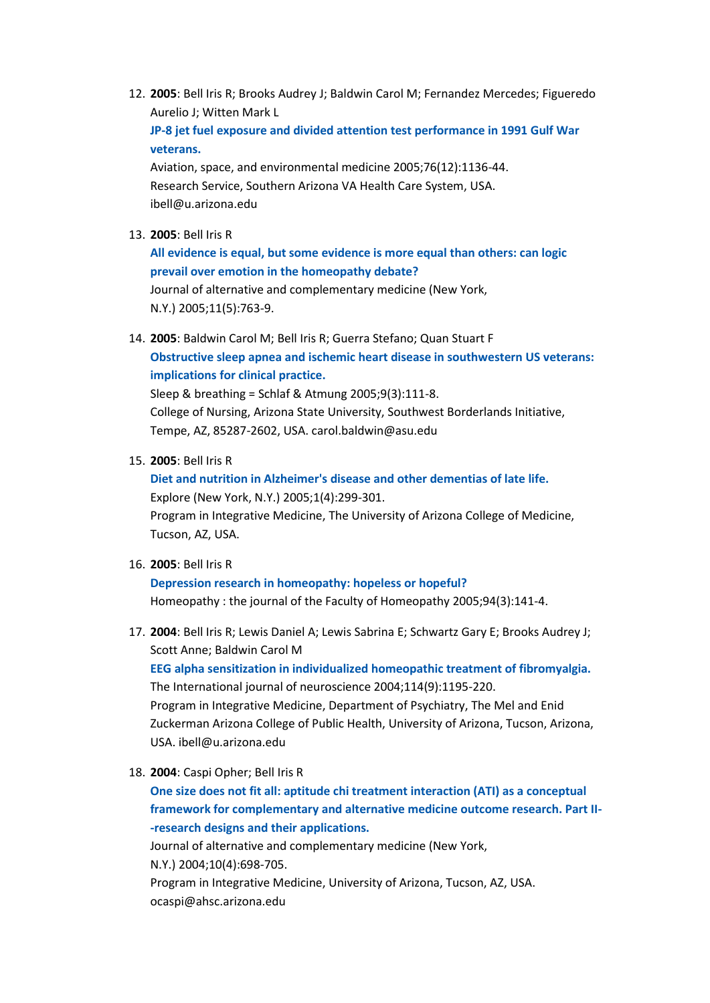12. **2005**: Bell Iris R; Brooks Audrey J; Baldwin Carol M; Fernandez Mercedes; Figueredo Aurelio J; Witten Mark L

**[JP-8 jet fuel exposure and divided attention test performance in 1991 Gulf War](http://www.biomedexperts.com/Experts/Abstract.aspx?pid=16385767)  [veterans.](http://www.biomedexperts.com/Experts/Abstract.aspx?pid=16385767)**

Aviation, space, and environmental medicine 2005;76(12):1136-44. Research Service, Southern Arizona VA Health Care System, USA. ibell@u.arizona.edu

13. **2005**: Bell Iris R

**[All evidence is equal, but some evidence is more equal than others: can logic](http://www.biomedexperts.com/Experts/Abstract.aspx?pid=16296897)  [prevail over emotion in the homeopathy debate?](http://www.biomedexperts.com/Experts/Abstract.aspx?pid=16296897)**

Journal of alternative and complementary medicine (New York, N.Y.) 2005;11(5):763-9.

14. **2005**: Baldwin Carol M; Bell Iris R; Guerra Stefano; Quan Stuart F **[Obstructive sleep apnea and ischemic heart disease in southwestern US veterans:](http://www.biomedexperts.com/Experts/Abstract.aspx?pid=16091955)  [implications for clinical practice.](http://www.biomedexperts.com/Experts/Abstract.aspx?pid=16091955)**

Sleep & breathing = Schlaf & Atmung 2005;9(3):111-8. College of Nursing, Arizona State University, Southwest Borderlands Initiative, Tempe, AZ, 85287-2602, USA. carol.baldwin@asu.edu

15. **2005**: Bell Iris R

**[Diet and nutrition in Alzheimer's disease and other dementias of late life.](http://www.biomedexperts.com/Experts/Abstract.aspx?pid=16781553)** Explore (New York, N.Y.) 2005;1(4):299-301. Program in Integrative Medicine, The University of Arizona College of Medicine, Tucson, AZ, USA.

16. **2005**: Bell Iris R

**[Depression research in homeopathy: hopeless or hopeful?](http://www.biomedexperts.com/Experts/Abstract.aspx?pid=16060199)** Homeopathy : the journal of the Faculty of Homeopathy 2005;94(3):141-4.

- 17. **2004**: Bell Iris R; Lewis Daniel A; Lewis Sabrina E; Schwartz Gary E; Brooks Audrey J; Scott Anne; Baldwin Carol M **[EEG alpha sensitization in individualized homeopathic treatment of fibromyalgia.](http://www.biomedexperts.com/Experts/Abstract.aspx?pid=15370183)** The International journal of neuroscience 2004;114(9):1195-220. Program in Integrative Medicine, Department of Psychiatry, The Mel and Enid Zuckerman Arizona College of Public Health, University of Arizona, Tucson, Arizona, USA. ibell@u.arizona.edu
- 18. **2004**: Caspi Opher; Bell Iris R

**[One size does not fit all: aptitude chi treatment interaction \(ATI\) as a conceptual](http://www.biomedexperts.com/Experts/Abstract.aspx?pid=15353030)  [framework for complementary and alternative medicine outcome research. Part II-](http://www.biomedexperts.com/Experts/Abstract.aspx?pid=15353030) [-research designs and their applications.](http://www.biomedexperts.com/Experts/Abstract.aspx?pid=15353030)**

Journal of alternative and complementary medicine (New York, N.Y.) 2004;10(4):698-705. Program in Integrative Medicine, University of Arizona, Tucson, AZ, USA. ocaspi@ahsc.arizona.edu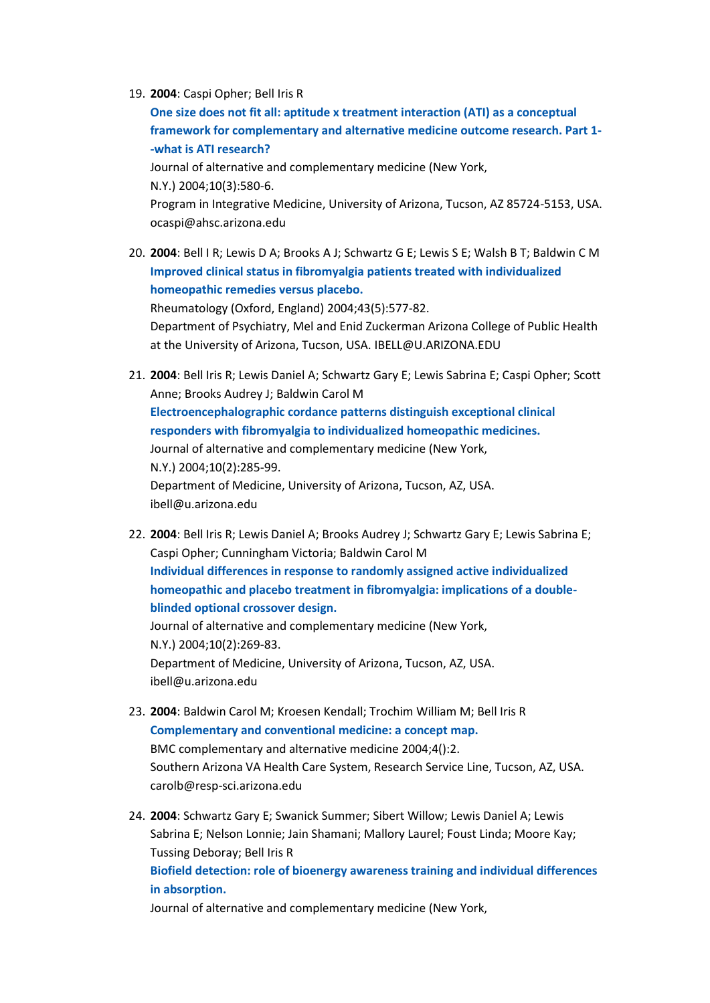#### 19. **2004**: Caspi Opher; Bell Iris R

**[One size does not fit all: aptitude x treatment interaction \(ATI\) as a conceptual](http://www.biomedexperts.com/Experts/Abstract.aspx?pid=15253866)  [framework for complementary and alternative medicine outcome research. Part 1-](http://www.biomedexperts.com/Experts/Abstract.aspx?pid=15253866) [-what is ATI research?](http://www.biomedexperts.com/Experts/Abstract.aspx?pid=15253866)** Journal of alternative and complementary medicine (New York, N.Y.) 2004;10(3):580-6. Program in Integrative Medicine, University of Arizona, Tucson, AZ 85724-5153, USA. ocaspi@ahsc.arizona.edu

- 20. **2004**: Bell I R; Lewis D A; Brooks A J; Schwartz G E; Lewis S E; Walsh B T; Baldwin C M **[Improved clinical status in fibromyalgia patients treated with individualized](http://www.biomedexperts.com/Experts/Abstract.aspx?pid=14734789)  [homeopathic remedies versus placebo.](http://www.biomedexperts.com/Experts/Abstract.aspx?pid=14734789)** Rheumatology (Oxford, England) 2004;43(5):577-82. Department of Psychiatry, Mel and Enid Zuckerman Arizona College of Public Health at the University of Arizona, Tucson, USA. IBELL@U.ARIZONA.EDU
- 21. **2004**: Bell Iris R; Lewis Daniel A; Schwartz Gary E; Lewis Sabrina E; Caspi Opher; Scott Anne; Brooks Audrey J; Baldwin Carol M **[Electroencephalographic cordance patterns distinguish exceptional clinical](http://www.biomedexperts.com/Experts/Abstract.aspx?pid=15165409)  [responders with fibromyalgia to individualized homeopathic medicines.](http://www.biomedexperts.com/Experts/Abstract.aspx?pid=15165409)** Journal of alternative and complementary medicine (New York, N.Y.) 2004;10(2):285-99. Department of Medicine, University of Arizona, Tucson, AZ, USA. ibell@u.arizona.edu
- 22. **2004**: Bell Iris R; Lewis Daniel A; Brooks Audrey J; Schwartz Gary E; Lewis Sabrina E; Caspi Opher; Cunningham Victoria; Baldwin Carol M **[Individual differences in response to randomly assigned active individualized](http://www.biomedexperts.com/Experts/Abstract.aspx?pid=15165408)  [homeopathic and placebo treatment in fibromyalgia: implications of a double](http://www.biomedexperts.com/Experts/Abstract.aspx?pid=15165408)[blinded optional crossover design.](http://www.biomedexperts.com/Experts/Abstract.aspx?pid=15165408)** Journal of alternative and complementary medicine (New York, N.Y.) 2004;10(2):269-83. Department of Medicine, University of Arizona, Tucson, AZ, USA. ibell@u.arizona.edu
- 23. **2004**: Baldwin Carol M; Kroesen Kendall; Trochim William M; Bell Iris R **[Complementary and conventional medicine: a concept map.](http://www.biomedexperts.com/Experts/Abstract.aspx?pid=15018623)** BMC complementary and alternative medicine 2004;4():2. Southern Arizona VA Health Care System, Research Service Line, Tucson, AZ, USA. carolb@resp-sci.arizona.edu
- 24. **2004**: Schwartz Gary E; Swanick Summer; Sibert Willow; Lewis Daniel A; Lewis Sabrina E; Nelson Lonnie; Jain Shamani; Mallory Laurel; Foust Linda; Moore Kay; Tussing Deboray; Bell Iris R

# **[Biofield detection: role of bioenergy awareness training and individual differences](http://www.biomedexperts.com/Experts/Abstract.aspx?pid=15025891)  [in absorption.](http://www.biomedexperts.com/Experts/Abstract.aspx?pid=15025891)**

Journal of alternative and complementary medicine (New York,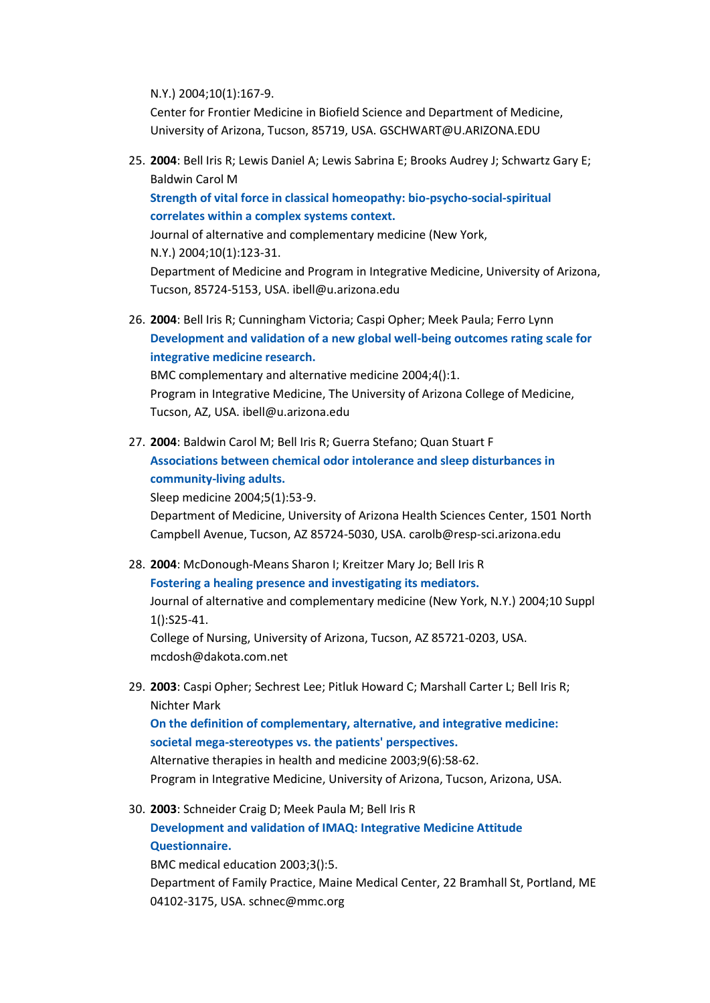N.Y.) 2004;10(1):167-9.

Center for Frontier Medicine in Biofield Science and Department of Medicine, University of Arizona, Tucson, 85719, USA. GSCHWART@U.ARIZONA.EDU

25. **2004**: Bell Iris R; Lewis Daniel A; Lewis Sabrina E; Brooks Audrey J; Schwartz Gary E; Baldwin Carol M

**[Strength of vital force in classical homeopathy: bio-psycho-social-spiritual](http://www.biomedexperts.com/Experts/Abstract.aspx?pid=15025886)  [correlates within a complex systems context.](http://www.biomedexperts.com/Experts/Abstract.aspx?pid=15025886)**

Journal of alternative and complementary medicine (New York, N.Y.) 2004;10(1):123-31. Department of Medicine and Program in Integrative Medicine, University of Arizona, Tucson, 85724-5153, USA. ibell@u.arizona.edu

26. **2004**: Bell Iris R; Cunningham Victoria; Caspi Opher; Meek Paula; Ferro Lynn **[Development and validation of a new global well-being outcomes rating scale for](http://www.biomedexperts.com/Experts/Abstract.aspx?pid=14725717)  [integrative medicine research.](http://www.biomedexperts.com/Experts/Abstract.aspx?pid=14725717)**

BMC complementary and alternative medicine 2004;4():1. Program in Integrative Medicine, The University of Arizona College of Medicine, Tucson, AZ, USA. ibell@u.arizona.edu

27. **2004**: Baldwin Carol M; Bell Iris R; Guerra Stefano; Quan Stuart F **[Associations between chemical odor intolerance and sleep disturbances in](http://www.biomedexperts.com/Experts/Abstract.aspx?pid=14725827)  [community-living adults.](http://www.biomedexperts.com/Experts/Abstract.aspx?pid=14725827)**

Sleep medicine 2004;5(1):53-9.

Department of Medicine, University of Arizona Health Sciences Center, 1501 North Campbell Avenue, Tucson, AZ 85724-5030, USA. carolb@resp-sci.arizona.edu

- 28. **2004**: McDonough-Means Sharon I; Kreitzer Mary Jo; Bell Iris R **[Fostering a healing presence and investigating its mediators.](http://www.biomedexperts.com/Experts/Abstract.aspx?pid=15630820)** Journal of alternative and complementary medicine (New York, N.Y.) 2004;10 Suppl 1():S25-41. College of Nursing, University of Arizona, Tucson, AZ 85721-0203, USA. mcdosh@dakota.com.net
- 29. **2003**: Caspi Opher; Sechrest Lee; Pitluk Howard C; Marshall Carter L; Bell Iris R; Nichter Mark **[On the definition of complementary, alternative, and integrative medicine:](http://www.biomedexperts.com/Experts/Abstract.aspx?pid=14618859)  [societal mega-stereotypes vs. the patients' perspectives.](http://www.biomedexperts.com/Experts/Abstract.aspx?pid=14618859)** Alternative therapies in health and medicine 2003;9(6):58-62. Program in Integrative Medicine, University of Arizona, Tucson, Arizona, USA.
- 30. **2003**: Schneider Craig D; Meek Paula M; Bell Iris R **[Development and validation of IMAQ: Integrative Medicine Attitude](http://www.biomedexperts.com/Experts/Abstract.aspx?pid=12946276)  [Questionnaire.](http://www.biomedexperts.com/Experts/Abstract.aspx?pid=12946276)** BMC medical education 2003;3():5. Department of Family Practice, Maine Medical Center, 22 Bramhall St, Portland, ME

04102-3175, USA. schnec@mmc.org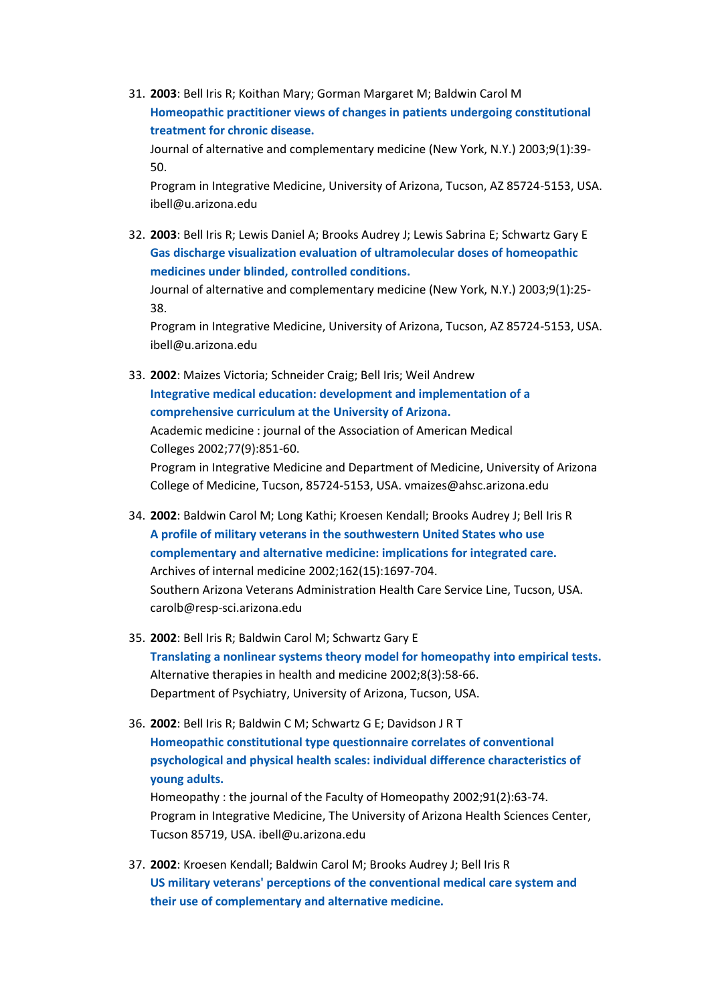31. **2003**: Bell Iris R; Koithan Mary; Gorman Margaret M; Baldwin Carol M **[Homeopathic practitioner views of changes in patients undergoing constitutional](http://www.biomedexperts.com/Experts/Abstract.aspx?pid=12676034)  [treatment for chronic disease.](http://www.biomedexperts.com/Experts/Abstract.aspx?pid=12676034)**

Journal of alternative and complementary medicine (New York, N.Y.) 2003;9(1):39- 50.

Program in Integrative Medicine, University of Arizona, Tucson, AZ 85724-5153, USA. ibell@u.arizona.edu

32. **2003**: Bell Iris R; Lewis Daniel A; Brooks Audrey J; Lewis Sabrina E; Schwartz Gary E **[Gas discharge visualization evaluation of ultramolecular doses of homeopathic](http://www.biomedexperts.com/Experts/Abstract.aspx?pid=12676033)  [medicines under blinded, controlled conditions.](http://www.biomedexperts.com/Experts/Abstract.aspx?pid=12676033)**

Journal of alternative and complementary medicine (New York, N.Y.) 2003;9(1):25- 38.

Program in Integrative Medicine, University of Arizona, Tucson, AZ 85724-5153, USA. ibell@u.arizona.edu

- 33. **2002**: Maizes Victoria; Schneider Craig; Bell Iris; Weil Andrew **[Integrative medical education: development and implementation of a](http://www.biomedexperts.com/Experts/Abstract.aspx?pid=12228072)  [comprehensive curriculum at the University of Arizona.](http://www.biomedexperts.com/Experts/Abstract.aspx?pid=12228072)** Academic medicine : journal of the Association of American Medical Colleges 2002;77(9):851-60. Program in Integrative Medicine and Department of Medicine, University of Arizona College of Medicine, Tucson, 85724-5153, USA. vmaizes@ahsc.arizona.edu
- 34. **2002**: Baldwin Carol M; Long Kathi; Kroesen Kendall; Brooks Audrey J; Bell Iris R **[A profile of military veterans in the southwestern United States who use](http://www.biomedexperts.com/Experts/Abstract.aspx?pid=12153372)  [complementary and alternative medicine: implications for integrated care.](http://www.biomedexperts.com/Experts/Abstract.aspx?pid=12153372)** Archives of internal medicine 2002;162(15):1697-704. Southern Arizona Veterans Administration Health Care Service Line, Tucson, USA. carolb@resp-sci.arizona.edu
- 35. **2002**: Bell Iris R; Baldwin Carol M; Schwartz Gary E **[Translating a nonlinear systems theory model for homeopathy into empirical tests.](http://www.biomedexperts.com/Experts/Abstract.aspx?pid=12017501)** Alternative therapies in health and medicine 2002;8(3):58-66. Department of Psychiatry, University of Arizona, Tucson, USA.
- 36. **2002**: Bell Iris R; Baldwin C M; Schwartz G E; Davidson J R T **[Homeopathic constitutional type questionnaire correlates of conventional](http://www.biomedexperts.com/Experts/Abstract.aspx?pid=12371459)  [psychological and physical health scales: individual difference characteristics of](http://www.biomedexperts.com/Experts/Abstract.aspx?pid=12371459)  [young adults.](http://www.biomedexperts.com/Experts/Abstract.aspx?pid=12371459)** Homeopathy : the journal of the Faculty of Homeopathy 2002;91(2):63-74. Program in Integrative Medicine, The University of Arizona Health Sciences Center, Tucson 85719, USA. ibell@u.arizona.edu
- 37. **2002**: Kroesen Kendall; Baldwin Carol M; Brooks Audrey J; Bell Iris R **[US military veterans' perceptions of the conventional medical care system and](http://www.biomedexperts.com/Experts/Abstract.aspx?pid=11818351)  [their use of complementary and alternative medicine.](http://www.biomedexperts.com/Experts/Abstract.aspx?pid=11818351)**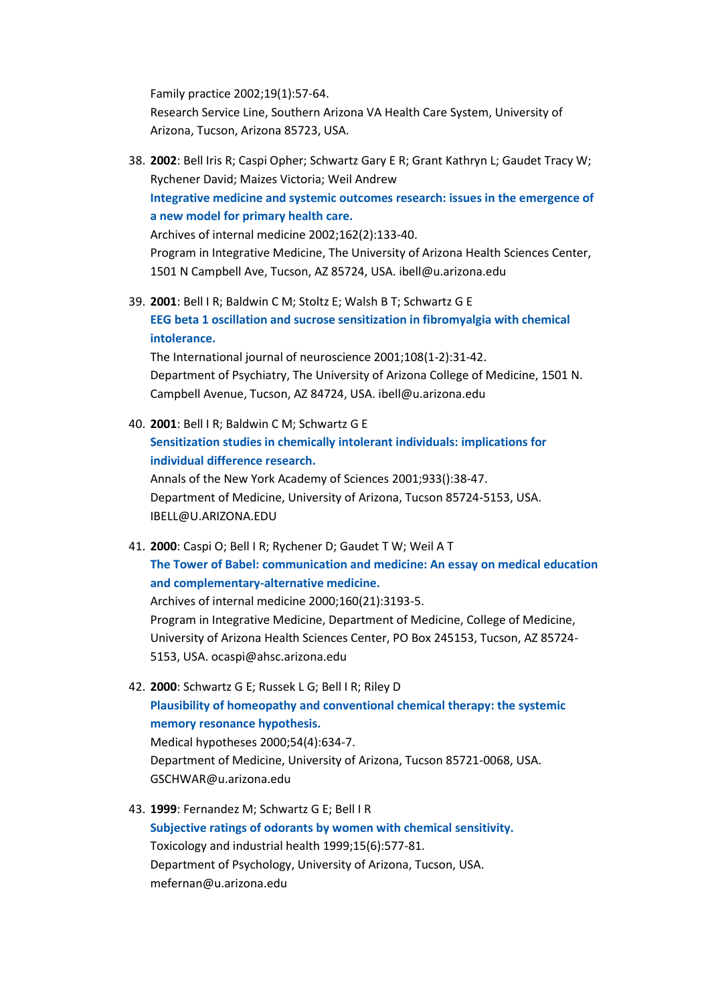Family practice 2002;19(1):57-64. Research Service Line, Southern Arizona VA Health Care System, University of Arizona, Tucson, Arizona 85723, USA.

- 38. **2002**: Bell Iris R; Caspi Opher; Schwartz Gary E R; Grant Kathryn L; Gaudet Tracy W; Rychener David; Maizes Victoria; Weil Andrew **[Integrative medicine and systemic outcomes research: issues in the emergence of](http://www.biomedexperts.com/Experts/Abstract.aspx?pid=11802746)  [a new model for primary health care.](http://www.biomedexperts.com/Experts/Abstract.aspx?pid=11802746)** Archives of internal medicine 2002;162(2):133-40. Program in Integrative Medicine, The University of Arizona Health Sciences Center, 1501 N Campbell Ave, Tucson, AZ 85724, USA. ibell@u.arizona.edu
- 39. **2001**: Bell I R; Baldwin C M; Stoltz E; Walsh B T; Schwartz G E **[EEG beta 1 oscillation and sucrose sensitization in fibromyalgia with chemical](http://www.biomedexperts.com/Experts/Abstract.aspx?pid=11328700)  [intolerance.](http://www.biomedexperts.com/Experts/Abstract.aspx?pid=11328700)**

The International journal of neuroscience 2001;108(1-2):31-42. Department of Psychiatry, The University of Arizona College of Medicine, 1501 N. Campbell Avenue, Tucson, AZ 84724, USA. ibell@u.arizona.edu

40. **2001**: Bell I R; Baldwin C M; Schwartz G E **[Sensitization studies in chemically intolerant individuals: implications for](http://www.biomedexperts.com/Experts/Abstract.aspx?pid=12000034)  [individual difference research.](http://www.biomedexperts.com/Experts/Abstract.aspx?pid=12000034)** Annals of the New York Academy of Sciences 2001;933():38-47. Department of Medicine, University of Arizona, Tucson 85724-5153, USA. IBELL@U.ARIZONA.EDU

- 41. **2000**: Caspi O; Bell I R; Rychener D; Gaudet T W; Weil A T **[The Tower of Babel: communication and medicine: An essay on medical education](http://www.biomedexperts.com/Experts/Abstract.aspx?pid=11088078)  [and complementary-alternative medicine.](http://www.biomedexperts.com/Experts/Abstract.aspx?pid=11088078)** Archives of internal medicine 2000;160(21):3193-5. Program in Integrative Medicine, Department of Medicine, College of Medicine, University of Arizona Health Sciences Center, PO Box 245153, Tucson, AZ 85724- 5153, USA. ocaspi@ahsc.arizona.edu
- 42. **2000**: Schwartz G E; Russek L G; Bell I R; Riley D **[Plausibility of homeopathy and conventional chemical therapy: the systemic](http://www.biomedexperts.com/Experts/Abstract.aspx?pid=10859655)  [memory resonance hypothesis.](http://www.biomedexperts.com/Experts/Abstract.aspx?pid=10859655)** Medical hypotheses 2000;54(4):634-7. Department of Medicine, University of Arizona, Tucson 85721-0068, USA. GSCHWAR@u.arizona.edu
- 43. **1999**: Fernandez M; Schwartz G E; Bell I R **[Subjective ratings of odorants by women with chemical sensitivity.](http://www.biomedexperts.com/Experts/Abstract.aspx?pid=10560135)** Toxicology and industrial health 1999;15(6):577-81. Department of Psychology, University of Arizona, Tucson, USA. mefernan@u.arizona.edu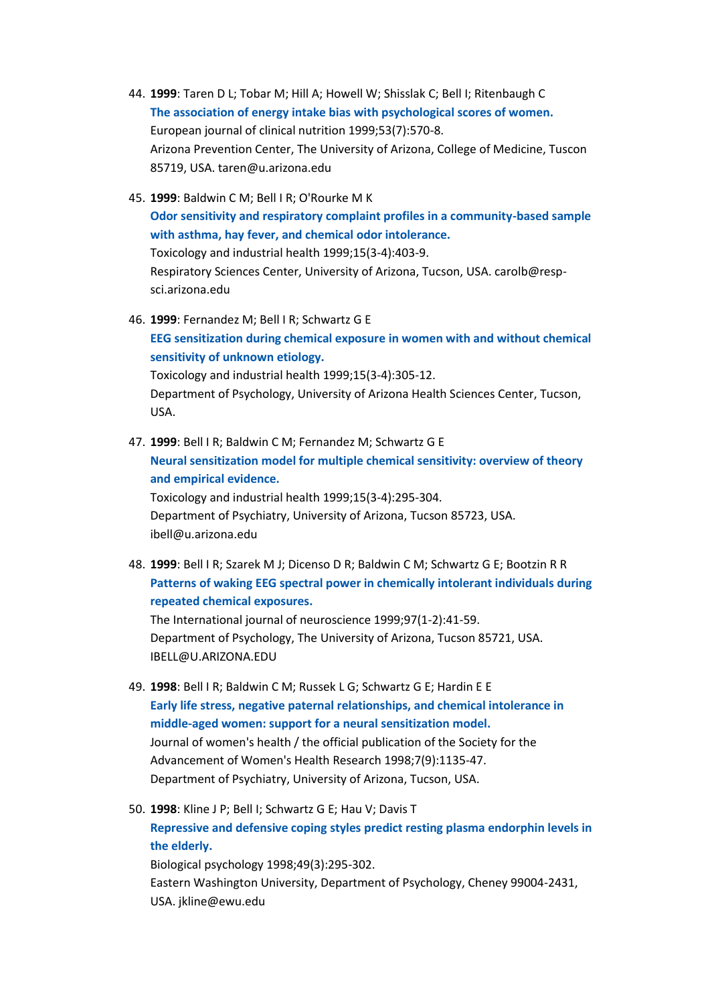- 44. **1999**: Taren D L; Tobar M; Hill A; Howell W; Shisslak C; Bell I; Ritenbaugh C **[The association of energy intake bias with psychological scores of women.](http://www.biomedexperts.com/Experts/Abstract.aspx?pid=10452412)** European journal of clinical nutrition 1999;53(7):570-8. Arizona Prevention Center, The University of Arizona, College of Medicine, Tuscon 85719, USA. taren@u.arizona.edu
- 45. **1999**: Baldwin C M; Bell I R; O'Rourke M K **[Odor sensitivity and respiratory complaint profiles in a community-based sample](http://www.biomedexperts.com/Experts/Abstract.aspx?pid=10416292)  [with asthma, hay fever, and chemical odor intolerance.](http://www.biomedexperts.com/Experts/Abstract.aspx?pid=10416292)** Toxicology and industrial health 1999;15(3-4):403-9. Respiratory Sciences Center, University of Arizona, Tucson, USA. carolb@respsci.arizona.edu
- 46. **1999**: Fernandez M; Bell I R; Schwartz G E **[EEG sensitization during chemical exposure in women with and without chemical](http://www.biomedexperts.com/Experts/Abstract.aspx?pid=10416282)  [sensitivity of unknown etiology.](http://www.biomedexperts.com/Experts/Abstract.aspx?pid=10416282)** Toxicology and industrial health 1999;15(3-4):305-12. Department of Psychology, University of Arizona Health Sciences Center, Tucson, USA.
- 47. **1999**: Bell I R; Baldwin C M; Fernandez M; Schwartz G E **[Neural sensitization model for multiple chemical sensitivity: overview of theory](http://www.biomedexperts.com/Experts/Abstract.aspx?pid=10416281)  [and empirical evidence.](http://www.biomedexperts.com/Experts/Abstract.aspx?pid=10416281)**

Toxicology and industrial health 1999;15(3-4):295-304. Department of Psychiatry, University of Arizona, Tucson 85723, USA. ibell@u.arizona.edu

48. **1999**: Bell I R; Szarek M J; Dicenso D R; Baldwin C M; Schwartz G E; Bootzin R R **Patterns of waking [EEG spectral power in chemically intolerant individuals during](http://www.biomedexperts.com/Experts/Abstract.aspx?pid=10681117)  [repeated chemical exposures.](http://www.biomedexperts.com/Experts/Abstract.aspx?pid=10681117)**

The International journal of neuroscience 1999;97(1-2):41-59. Department of Psychology, The University of Arizona, Tucson 85721, USA. IBELL@U.ARIZONA.EDU

- 49. **1998**: Bell I R; Baldwin C M; Russek L G; Schwartz G E; Hardin E E **[Early life stress, negative paternal relationships, and chemical intolerance in](http://www.biomedexperts.com/Experts/Abstract.aspx?pid=9861591)  [middle-aged women: support for a neural sensitization model.](http://www.biomedexperts.com/Experts/Abstract.aspx?pid=9861591)** Journal of women's health / the official publication of the Society for the Advancement of Women's Health Research 1998;7(9):1135-47. Department of Psychiatry, University of Arizona, Tucson, USA.
- 50. **1998**: Kline J P; Bell I; Schwartz G E; Hau V; Davis T **[Repressive and defensive coping styles predict resting plasma endorphin levels in](http://www.biomedexperts.com/Experts/Abstract.aspx?pid=9858058)  [the elderly.](http://www.biomedexperts.com/Experts/Abstract.aspx?pid=9858058)** Biological psychology 1998;49(3):295-302.

Eastern Washington University, Department of Psychology, Cheney 99004-2431, USA. jkline@ewu.edu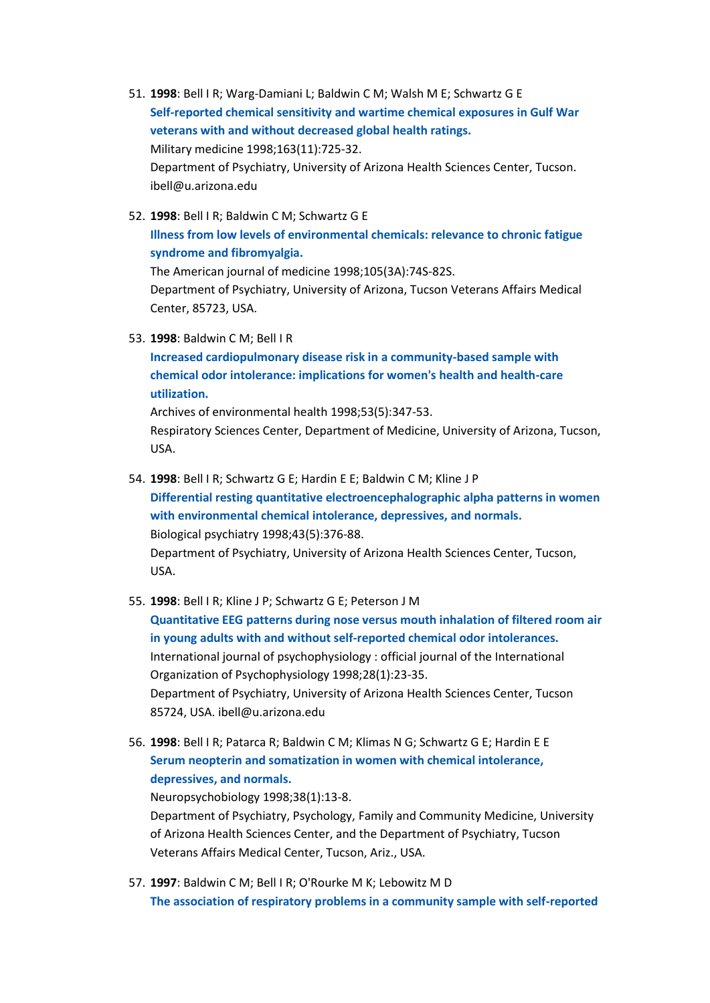- 51. **1998**: Bell I R; Warg-Damiani L; Baldwin C M; Walsh M E; Schwartz G E **[Self-reported chemical sensitivity and wartime chemical exposures in Gulf War](http://www.biomedexperts.com/Experts/Abstract.aspx?pid=9819530)  [veterans with and without decreased global health ratings.](http://www.biomedexperts.com/Experts/Abstract.aspx?pid=9819530)** Military medicine 1998;163(11):725-32. Department of Psychiatry, University of Arizona Health Sciences Center, Tucson. ibell@u.arizona.edu
- 52. **1998**: Bell I R; Baldwin C M; Schwartz G E **[Illness from low levels of environmental chemicals: relevance to chronic fatigue](http://www.biomedexperts.com/Experts/Abstract.aspx?pid=9790486)  [syndrome and fibromyalgia.](http://www.biomedexperts.com/Experts/Abstract.aspx?pid=9790486)** The American journal of medicine 1998;105(3A):74S-82S. Department of Psychiatry, University of Arizona, Tucson Veterans Affairs Medical Center, 85723, USA.
- 53. **1998**: Baldwin C M; Bell I R

**[Increased cardiopulmonary disease risk in a community-based sample with](http://www.biomedexperts.com/Experts/Abstract.aspx?pid=9766480)  [chemical odor intolerance: implications for women's health and health-care](http://www.biomedexperts.com/Experts/Abstract.aspx?pid=9766480)  [utilization.](http://www.biomedexperts.com/Experts/Abstract.aspx?pid=9766480)**

Archives of environmental health 1998;53(5):347-53. Respiratory Sciences Center, Department of Medicine, University of Arizona, Tucson, USA.

- 54. **1998**: Bell I R; Schwartz G E; Hardin E E; Baldwin C M; Kline J P **[Differential resting quantitative electroencephalographic alpha patterns in women](http://www.biomedexperts.com/Experts/Abstract.aspx?pid=9513754)  [with environmental chemical intolerance, depressives, and normals.](http://www.biomedexperts.com/Experts/Abstract.aspx?pid=9513754)** Biological psychiatry 1998;43(5):376-88. Department of Psychiatry, University of Arizona Health Sciences Center, Tucson, USA.
- 55. **1998**: Bell I R; Kline J P; Schwartz G E; Peterson J M **[Quantitative EEG patterns during nose versus mouth inhalation of filtered room air](http://www.biomedexperts.com/Experts/Abstract.aspx?pid=9506309)  [in young adults with and without self-reported chemical odor intolerances.](http://www.biomedexperts.com/Experts/Abstract.aspx?pid=9506309)** International journal of psychophysiology : official journal of the International Organization of Psychophysiology 1998;28(1):23-35. Department of Psychiatry, University of Arizona Health Sciences Center, Tucson 85724, USA. ibell@u.arizona.edu
- 56. **1998**: Bell I R; Patarca R; Baldwin C M; Klimas N G; Schwartz G E; Hardin E E **[Serum neopterin and somatization in women with chemical intolerance,](http://www.biomedexperts.com/Experts/Abstract.aspx?pid=9701717)  [depressives, and normals.](http://www.biomedexperts.com/Experts/Abstract.aspx?pid=9701717)** Neuropsychobiology 1998;38(1):13-8.

Department of Psychiatry, Psychology, Family and Community Medicine, University of Arizona Health Sciences Center, and the Department of Psychiatry, Tucson Veterans Affairs Medical Center, Tucson, Ariz., USA.

57. **1997**: Baldwin C M; Bell I R; O'Rourke M K; Lebowitz M D **[The association of respiratory problems in a community sample with self-reported](http://www.biomedexperts.com/Experts/Abstract.aspx?pid=9258567)**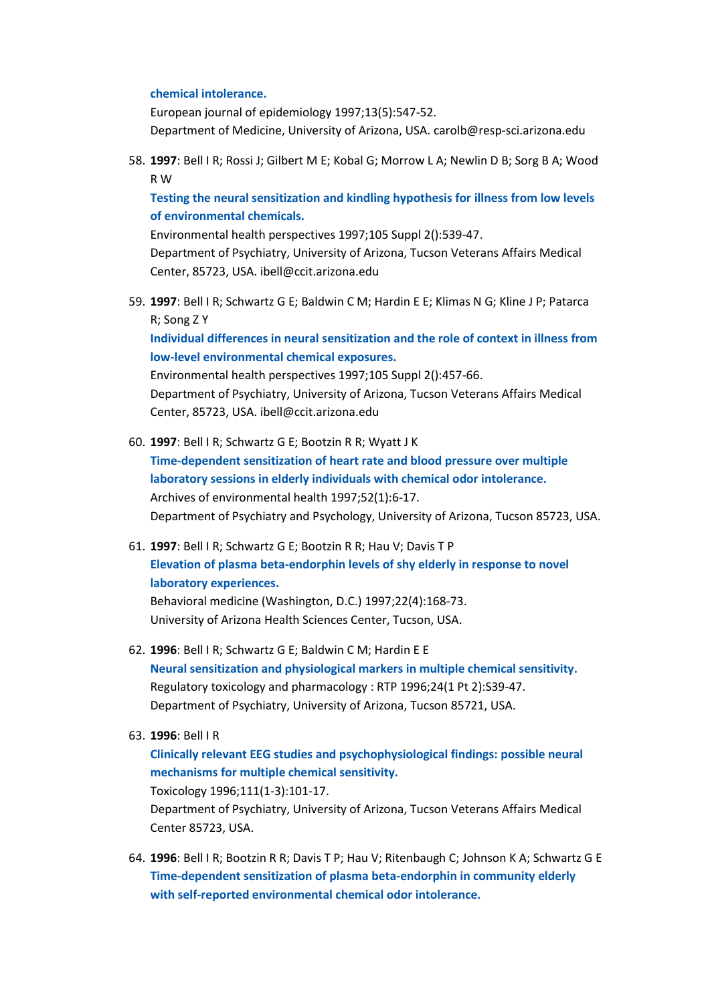#### **[chemical intolerance.](http://www.biomedexperts.com/Experts/Abstract.aspx?pid=9258567)**

European journal of epidemiology 1997;13(5):547-52. Department of Medicine, University of Arizona, USA. carolb@resp-sci.arizona.edu

58. **1997**: Bell I R; Rossi J; Gilbert M E; Kobal G; Morrow L A; Newlin D B; Sorg B A; Wood R W

**[Testing the neural sensitization and kindling hypothesis for illness from low levels](http://www.biomedexperts.com/Experts/Abstract.aspx?pid=9167993)  [of environmental chemicals.](http://www.biomedexperts.com/Experts/Abstract.aspx?pid=9167993)**

Environmental health perspectives 1997;105 Suppl 2():539-47. Department of Psychiatry, University of Arizona, Tucson Veterans Affairs Medical Center, 85723, USA. ibell@ccit.arizona.edu

59. **1997**: Bell I R; Schwartz G E; Baldwin C M; Hardin E E; Klimas N G; Kline J P; Patarca R; Song Z Y

**[Individual differences in neural sensitization and the role of context in illness from](http://www.biomedexperts.com/Experts/Abstract.aspx?pid=9167980)  [low-level environmental chemical exposures.](http://www.biomedexperts.com/Experts/Abstract.aspx?pid=9167980)**

Environmental health perspectives 1997;105 Suppl 2():457-66. Department of Psychiatry, University of Arizona, Tucson Veterans Affairs Medical Center, 85723, USA. ibell@ccit.arizona.edu

- 60. **1997**: Bell I R; Schwartz G E; Bootzin R R; Wyatt J K **[Time-dependent sensitization of heart rate and blood pressure over multiple](http://www.biomedexperts.com/Experts/Abstract.aspx?pid=9039852)  [laboratory sessions in elderly individuals with chemical odor intolerance.](http://www.biomedexperts.com/Experts/Abstract.aspx?pid=9039852)** Archives of environmental health 1997;52(1):6-17. Department of Psychiatry and Psychology, University of Arizona, Tucson 85723, USA.
- 61. **1997**: Bell I R; Schwartz G E; Bootzin R R; Hau V; Davis T P **[Elevation of plasma beta-endorphin levels of shy elderly in response to novel](http://www.biomedexperts.com/Experts/Abstract.aspx?pid=9138625)  [laboratory experiences.](http://www.biomedexperts.com/Experts/Abstract.aspx?pid=9138625)**

Behavioral medicine (Washington, D.C.) 1997;22(4):168-73. University of Arizona Health Sciences Center, Tucson, USA.

- 62. **1996**: Bell I R; Schwartz G E; Baldwin C M; Hardin E E **[Neural sensitization and physiological markers in multiple chemical sensitivity.](http://www.biomedexperts.com/Experts/Abstract.aspx?pid=8921554)** Regulatory toxicology and pharmacology : RTP 1996;24(1 Pt 2):S39-47. Department of Psychiatry, University of Arizona, Tucson 85721, USA.
- 63. **1996**: Bell I R

```
Clinically relevant EEG studies and psychophysiological findings: possible neural 
mechanisms for multiple chemical sensitivity.
Toxicology 1996;111(1-3):101-17.
```
Department of Psychiatry, University of Arizona, Tucson Veterans Affairs Medical Center 85723, USA.

64. **1996**: Bell I R; Bootzin R R; Davis T P; Hau V; Ritenbaugh C; Johnson K A; Schwartz G E **[Time-dependent sensitization of plasma beta-endorphin in community elderly](http://www.biomedexperts.com/Experts/Abstract.aspx?pid=8793045)  [with self-reported environmental chemical odor intolerance.](http://www.biomedexperts.com/Experts/Abstract.aspx?pid=8793045)**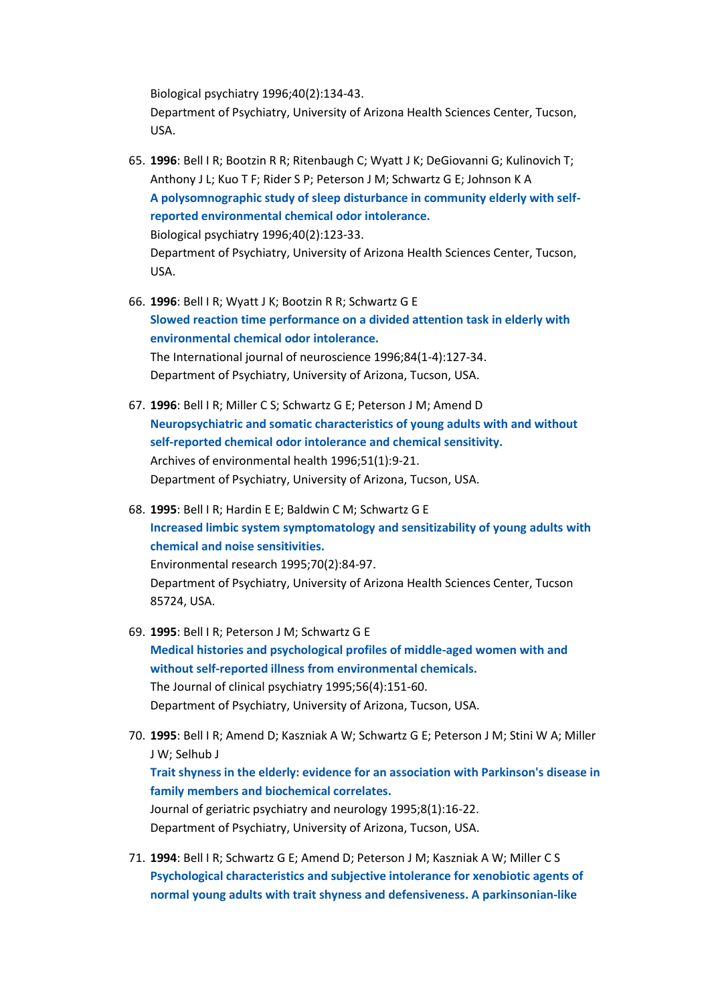Biological psychiatry 1996;40(2):134-43. Department of Psychiatry, University of Arizona Health Sciences Center, Tucson, USA.

- 65. **1996**: Bell I R; Bootzin R R; Ritenbaugh C; Wyatt J K; DeGiovanni G; Kulinovich T; Anthony J L; Kuo T F; Rider S P; Peterson J M; Schwartz G E; Johnson K A **[A polysomnographic study of sleep disturbance in community elderly with self](http://www.biomedexperts.com/Experts/Abstract.aspx?pid=8793044)[reported environmental chemical odor intolerance.](http://www.biomedexperts.com/Experts/Abstract.aspx?pid=8793044)** Biological psychiatry 1996;40(2):123-33. Department of Psychiatry, University of Arizona Health Sciences Center, Tucson, USA.
- 66. **1996**: Bell I R; Wyatt J K; Bootzin R R; Schwartz G E **[Slowed reaction time performance on a divided attention task in elderly with](http://www.biomedexperts.com/Experts/Abstract.aspx?pid=8707474)  [environmental chemical odor intolerance.](http://www.biomedexperts.com/Experts/Abstract.aspx?pid=8707474)** The International journal of neuroscience 1996;84(1-4):127-34. Department of Psychiatry, University of Arizona, Tucson, USA.
- 67. **1996**: Bell I R; Miller C S; Schwartz G E; Peterson J M; Amend D **[Neuropsychiatric and somatic characteristics of young adults with and without](http://www.biomedexperts.com/Experts/Abstract.aspx?pid=8629870)  [self-reported chemical odor intolerance and chemical sensitivity.](http://www.biomedexperts.com/Experts/Abstract.aspx?pid=8629870)** Archives of environmental health 1996;51(1):9-21. Department of Psychiatry, University of Arizona, Tucson, USA.
- 68. **1995**: Bell I R; Hardin E E; Baldwin C M; Schwartz G E **[Increased limbic system symptomatology and sensitizability of young adults with](http://www.biomedexperts.com/Experts/Abstract.aspx?pid=8674484)  [chemical and noise sensitivities.](http://www.biomedexperts.com/Experts/Abstract.aspx?pid=8674484)** Environmental research 1995;70(2):84-97. Department of Psychiatry, University of Arizona Health Sciences Center, Tucson 85724, USA.
- 69. **1995**: Bell I R; Peterson J M; Schwartz G E **[Medical histories and psychological profiles of middle-aged women with and](http://www.biomedexperts.com/Experts/Abstract.aspx?pid=7713854)  [without self-reported illness from environmental chemicals.](http://www.biomedexperts.com/Experts/Abstract.aspx?pid=7713854)** The Journal of clinical psychiatry 1995;56(4):151-60. Department of Psychiatry, University of Arizona, Tucson, USA.
- 70. **1995**: Bell I R; Amend D; Kaszniak A W; Schwartz G E; Peterson J M; Stini W A; Miller J W; Selhub J **[Trait shyness in the elderly: evidence for an association with Parkinson's disease in](http://www.biomedexperts.com/Experts/Abstract.aspx?pid=7710641)  [family members and biochemical correlates.](http://www.biomedexperts.com/Experts/Abstract.aspx?pid=7710641)** Journal of geriatric psychiatry and neurology 1995;8(1):16-22. Department of Psychiatry, University of Arizona, Tucson, USA.
- 71. **1994**: Bell I R; Schwartz G E; Amend D; Peterson J M; Kaszniak A W; Miller C S **[Psychological characteristics and subjective intolerance for xenobiotic agents of](http://www.biomedexperts.com/Experts/Abstract.aspx?pid=8021635)  [normal young adults with trait shyness and defensiveness. A parkinsonian-like](http://www.biomedexperts.com/Experts/Abstract.aspx?pid=8021635)**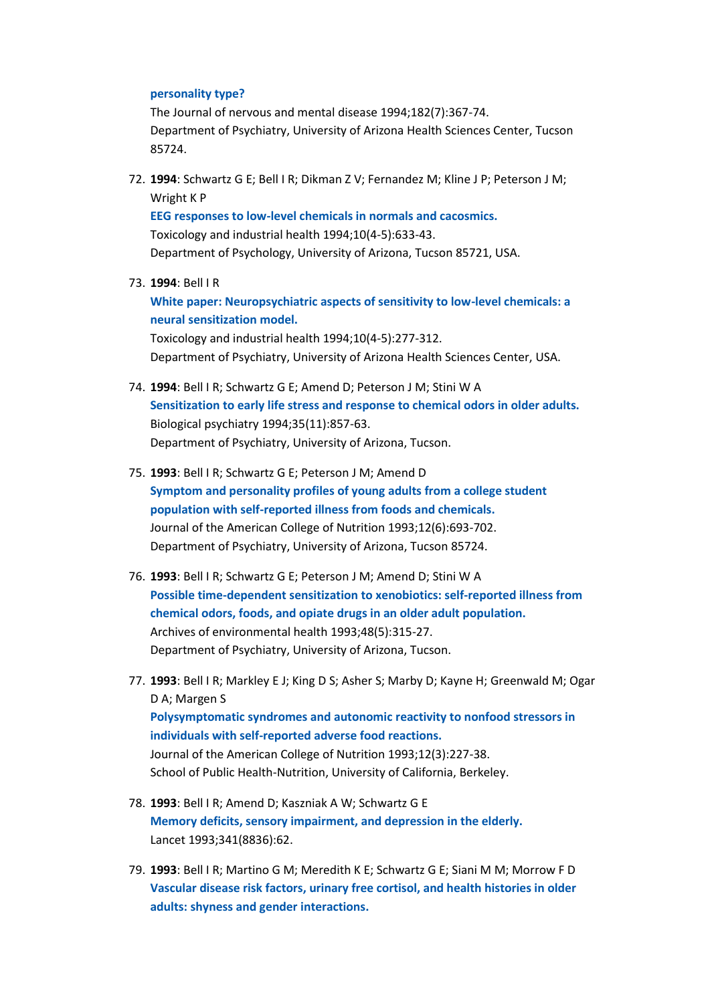## **[personality type?](http://www.biomedexperts.com/Experts/Abstract.aspx?pid=8021635)**

The Journal of nervous and mental disease 1994;182(7):367-74. Department of Psychiatry, University of Arizona Health Sciences Center, Tucson 85724.

72. **1994**: Schwartz G E; Bell I R; Dikman Z V; Fernandez M; Kline J P; Peterson J M; Wright K P

**[EEG responses to low-level chemicals in normals and cacosmics.](http://www.biomedexperts.com/Experts/Abstract.aspx?pid=7778120)** Toxicology and industrial health 1994;10(4-5):633-43. Department of Psychology, University of Arizona, Tucson 85721, USA.

### 73. **1994**: Bell I R

**[White paper: Neuropsychiatric aspects of sensitivity to low-level chemicals: a](http://www.biomedexperts.com/Experts/Abstract.aspx?pid=7778100)  [neural sensitization model.](http://www.biomedexperts.com/Experts/Abstract.aspx?pid=7778100)**

Toxicology and industrial health 1994;10(4-5):277-312. Department of Psychiatry, University of Arizona Health Sciences Center, USA.

- 74. **1994**: Bell I R; Schwartz G E; Amend D; Peterson J M; Stini W A **[Sensitization to early life stress and response to chemical odors in older adults.](http://www.biomedexperts.com/Experts/Abstract.aspx?pid=8054408)** Biological psychiatry 1994;35(11):857-63. Department of Psychiatry, University of Arizona, Tucson.
- 75. **1993**: Bell I R; Schwartz G E; Peterson J M; Amend D **[Symptom and personality profiles of young adults from a college student](http://www.biomedexperts.com/Experts/Abstract.aspx?pid=8294725)  [population with self-reported illness from foods and chemicals.](http://www.biomedexperts.com/Experts/Abstract.aspx?pid=8294725)** Journal of the American College of Nutrition 1993;12(6):693-702. Department of Psychiatry, University of Arizona, Tucson 85724.
- 76. **1993**: Bell I R; Schwartz G E; Peterson J M; Amend D; Stini W A **[Possible time-dependent sensitization to xenobiotics: self-reported illness from](http://www.biomedexperts.com/Experts/Abstract.aspx?pid=8215596)  [chemical odors, foods, and opiate drugs in an older adult population.](http://www.biomedexperts.com/Experts/Abstract.aspx?pid=8215596)** Archives of environmental health 1993;48(5):315-27. Department of Psychiatry, University of Arizona, Tucson.
- 77. **1993**: Bell I R; Markley E J; King D S; Asher S; Marby D; Kayne H; Greenwald M; Ogar D A; Margen S **[Polysymptomatic syndromes and autonomic reactivity to nonfood stressors in](http://www.biomedexperts.com/Experts/Abstract.aspx?pid=8409077)  [individuals with self-reported adverse food reactions.](http://www.biomedexperts.com/Experts/Abstract.aspx?pid=8409077)** Journal of the American College of Nutrition 1993;12(3):227-38. School of Public Health-Nutrition, University of California, Berkeley.
- 78. **1993**: Bell I R; Amend D; Kaszniak A W; Schwartz G E **[Memory deficits, sensory impairment, and depression in the elderly.](http://www.biomedexperts.com/Experts/Abstract.aspx?pid=8093317)** Lancet 1993;341(8836):62.
- 79. **1993**: Bell I R; Martino G M; Meredith K E; Schwartz G E; Siani M M; Morrow F D **[Vascular disease risk factors, urinary free cortisol, and health histories in older](http://www.biomedexperts.com/Experts/Abstract.aspx?pid=8435451)  [adults: shyness and gender interactions.](http://www.biomedexperts.com/Experts/Abstract.aspx?pid=8435451)**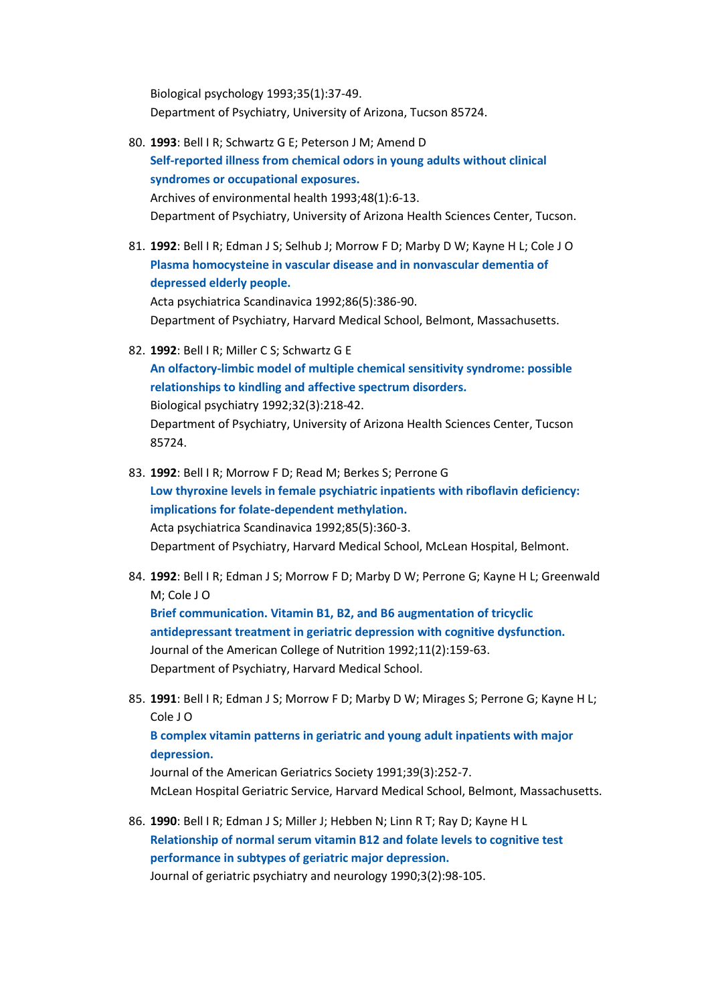Biological psychology 1993;35(1):37-49. Department of Psychiatry, University of Arizona, Tucson 85724.

- 80. **1993**: Bell I R; Schwartz G E; Peterson J M; Amend D **[Self-reported illness from chemical odors in young adults without clinical](http://www.biomedexperts.com/Experts/Abstract.aspx?pid=7680851)  [syndromes or occupational exposures.](http://www.biomedexperts.com/Experts/Abstract.aspx?pid=7680851)** Archives of environmental health 1993;48(1):6-13. Department of Psychiatry, University of Arizona Health Sciences Center, Tucson.
- 81. **1992**: Bell I R; Edman J S; Selhub J; Morrow F D; Marby D W; Kayne H L; Cole J O **[Plasma homocysteine in vascular disease and in nonvascular dementia of](http://www.biomedexperts.com/Experts/Abstract.aspx?pid=1485529)  [depressed elderly people.](http://www.biomedexperts.com/Experts/Abstract.aspx?pid=1485529)** Acta psychiatrica Scandinavica 1992;86(5):386-90.

Department of Psychiatry, Harvard Medical School, Belmont, Massachusetts.

82. **1992**: Bell I R; Miller C S; Schwartz G E

**[An olfactory-limbic model of multiple chemical sensitivity syndrome: possible](http://www.biomedexperts.com/Experts/Abstract.aspx?pid=1420641)  [relationships to kindling and affective spectrum disorders.](http://www.biomedexperts.com/Experts/Abstract.aspx?pid=1420641)** Biological psychiatry 1992;32(3):218-42. Department of Psychiatry, University of Arizona Health Sciences Center, Tucson 85724.

- 83. **1992**: Bell I R; Morrow F D; Read M; Berkes S; Perrone G **[Low thyroxine levels in female psychiatric inpatients](http://www.biomedexperts.com/Experts/Abstract.aspx?pid=1605056) with riboflavin deficiency: [implications for folate-dependent methylation.](http://www.biomedexperts.com/Experts/Abstract.aspx?pid=1605056)** Acta psychiatrica Scandinavica 1992;85(5):360-3. Department of Psychiatry, Harvard Medical School, McLean Hospital, Belmont.
- 84. **1992**: Bell I R; Edman J S; Morrow F D; Marby D W; Perrone G; Kayne H L; Greenwald M; Cole J O

**[Brief communication. Vitamin B1, B2, and B6 augmentation of tricyclic](http://www.biomedexperts.com/Experts/Abstract.aspx?pid=1578091)  [antidepressant treatment in geriatric depression with cognitive dysfunction.](http://www.biomedexperts.com/Experts/Abstract.aspx?pid=1578091)** Journal of the American College of Nutrition 1992;11(2):159-63. Department of Psychiatry, Harvard Medical School.

85. **1991**: Bell I R; Edman J S; Morrow F D; Marby D W; Mirages S; Perrone G; Kayne H L; Cole J O

## **[B complex vitamin patterns in geriatric and young adult inpatients with major](http://www.biomedexperts.com/Experts/Abstract.aspx?pid=2005338)  [depression.](http://www.biomedexperts.com/Experts/Abstract.aspx?pid=2005338)**

Journal of the American Geriatrics Society 1991;39(3):252-7. McLean Hospital Geriatric Service, Harvard Medical School, Belmont, Massachusetts.

86. **1990**: Bell I R; Edman J S; Miller J; Hebben N; Linn R T; Ray D; Kayne H L **[Relationship of normal serum vitamin B12 and folate levels to cognitive test](http://www.biomedexperts.com/Experts/Abstract.aspx?pid=2206265)  [performance in subtypes of geriatric major depression.](http://www.biomedexperts.com/Experts/Abstract.aspx?pid=2206265)** Journal of geriatric psychiatry and neurology 1990;3(2):98-105.